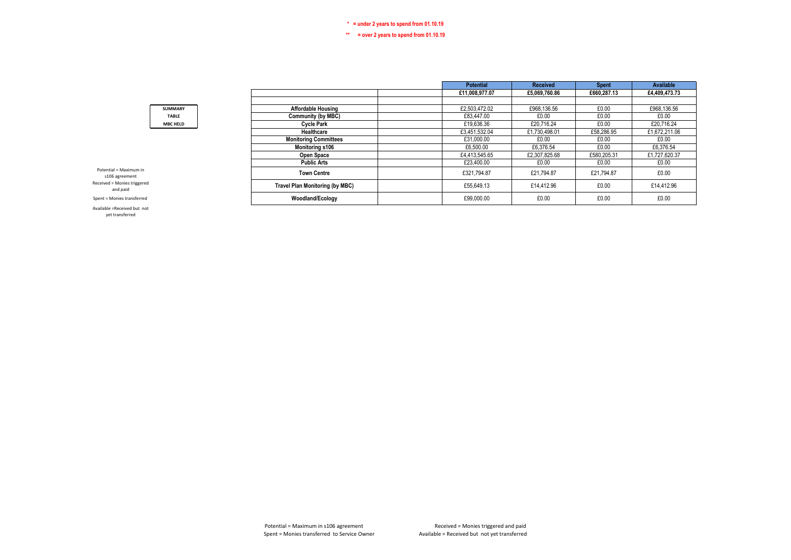### **\*\* = over 2 years to spend from 01.10.19**

| £11,008,977.07<br>£5,069,760.86<br>£660,287.13<br>£4.409.473.73<br>£0.00<br>£968,136.56<br>£2,503,472.02<br>£968.136.56<br><b>Affordable Housing</b><br><b>SUMMARY</b><br>£0.00<br><b>Community (by MBC)</b><br>£83,447.00<br>£0.00<br>£0.00<br><b>TABLE</b><br><b>Cycle Park</b><br>£19,636.36<br>£20.716.24<br>£0.00<br>£20.716.24<br><b>MBC HELD</b><br>£58,286.95<br>£1,672,211.06<br>£3,451,532.04<br>Healthcare<br>£1,730,498.01<br><b>Monitoring Committees</b><br>£0.00<br>£31,000.00<br>£0.00<br>£0.00<br>£6.376.54<br>£6.376.54<br>Monitoring s106<br>£6,500.00<br>£0.00<br>£580,205.31<br>Open Space<br>£4,413,545.65<br>£2,307,825.68<br>£1,727,620.37<br><b>Public Arts</b><br>£23,400.00<br>£0.00<br>£0.00<br>£0.00<br>Potential = Maximum in<br>£0.00<br><b>Town Centre</b><br>£321,794.87<br>£21,794.87<br>£21.794.87<br>s106 agreement<br>Received = Monies triggered<br><b>Travel Plan Monitoring (by MBC)</b><br>£55,649.13<br>£14,412.96<br>£0.00<br>£14,412.96<br>and paid<br>Woodland/Ecology<br>£0.00<br>£0.00<br>£0.00<br>£99,000.00<br>Spent = Monies transferred |  |  | <b>Potential</b> | <b>Received</b> | <b>Spent</b> | Available |
|--------------------------------------------------------------------------------------------------------------------------------------------------------------------------------------------------------------------------------------------------------------------------------------------------------------------------------------------------------------------------------------------------------------------------------------------------------------------------------------------------------------------------------------------------------------------------------------------------------------------------------------------------------------------------------------------------------------------------------------------------------------------------------------------------------------------------------------------------------------------------------------------------------------------------------------------------------------------------------------------------------------------------------------------------------------------------------------------|--|--|------------------|-----------------|--------------|-----------|
|                                                                                                                                                                                                                                                                                                                                                                                                                                                                                                                                                                                                                                                                                                                                                                                                                                                                                                                                                                                                                                                                                            |  |  |                  |                 |              |           |
|                                                                                                                                                                                                                                                                                                                                                                                                                                                                                                                                                                                                                                                                                                                                                                                                                                                                                                                                                                                                                                                                                            |  |  |                  |                 |              |           |
|                                                                                                                                                                                                                                                                                                                                                                                                                                                                                                                                                                                                                                                                                                                                                                                                                                                                                                                                                                                                                                                                                            |  |  |                  |                 |              |           |
|                                                                                                                                                                                                                                                                                                                                                                                                                                                                                                                                                                                                                                                                                                                                                                                                                                                                                                                                                                                                                                                                                            |  |  |                  |                 |              |           |
|                                                                                                                                                                                                                                                                                                                                                                                                                                                                                                                                                                                                                                                                                                                                                                                                                                                                                                                                                                                                                                                                                            |  |  |                  |                 |              |           |
|                                                                                                                                                                                                                                                                                                                                                                                                                                                                                                                                                                                                                                                                                                                                                                                                                                                                                                                                                                                                                                                                                            |  |  |                  |                 |              |           |
|                                                                                                                                                                                                                                                                                                                                                                                                                                                                                                                                                                                                                                                                                                                                                                                                                                                                                                                                                                                                                                                                                            |  |  |                  |                 |              |           |
|                                                                                                                                                                                                                                                                                                                                                                                                                                                                                                                                                                                                                                                                                                                                                                                                                                                                                                                                                                                                                                                                                            |  |  |                  |                 |              |           |
|                                                                                                                                                                                                                                                                                                                                                                                                                                                                                                                                                                                                                                                                                                                                                                                                                                                                                                                                                                                                                                                                                            |  |  |                  |                 |              |           |
|                                                                                                                                                                                                                                                                                                                                                                                                                                                                                                                                                                                                                                                                                                                                                                                                                                                                                                                                                                                                                                                                                            |  |  |                  |                 |              |           |
|                                                                                                                                                                                                                                                                                                                                                                                                                                                                                                                                                                                                                                                                                                                                                                                                                                                                                                                                                                                                                                                                                            |  |  |                  |                 |              |           |
|                                                                                                                                                                                                                                                                                                                                                                                                                                                                                                                                                                                                                                                                                                                                                                                                                                                                                                                                                                                                                                                                                            |  |  |                  |                 |              |           |
|                                                                                                                                                                                                                                                                                                                                                                                                                                                                                                                                                                                                                                                                                                                                                                                                                                                                                                                                                                                                                                                                                            |  |  |                  |                 |              |           |

Available =Received but not yet transferred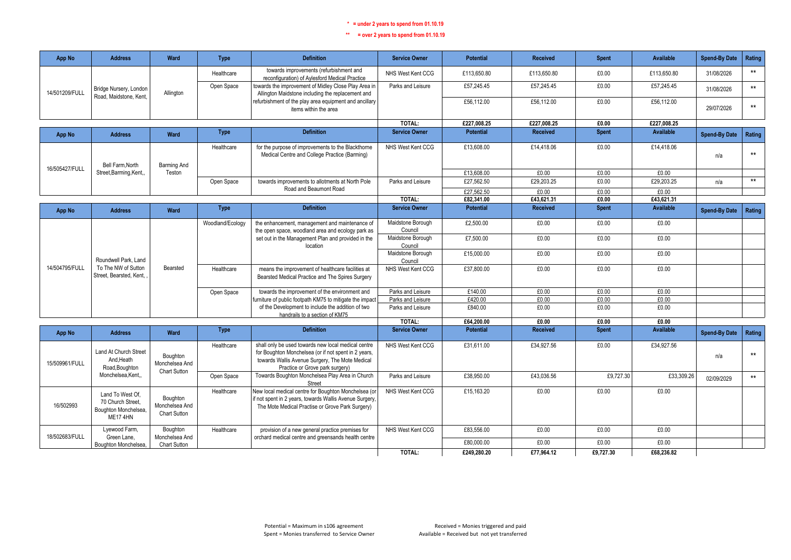| App No         | <b>Address</b>                                                           | Ward                                              | <b>Type</b>      | <b>Definition</b>                                                                                                                                                                                 | <b>Service Owner</b>         | <b>Potential</b> | <b>Received</b> | <b>Spent</b> | <b>Available</b> | <b>Spend-By Date</b> | Rating |
|----------------|--------------------------------------------------------------------------|---------------------------------------------------|------------------|---------------------------------------------------------------------------------------------------------------------------------------------------------------------------------------------------|------------------------------|------------------|-----------------|--------------|------------------|----------------------|--------|
|                |                                                                          |                                                   | Healthcare       | towards improvements (refurbishment and<br>reconfiguration) of Aylesford Medical Practice                                                                                                         | NHS West Kent CCG            | £113,650.80      | £113,650.80     | £0.00        | £113,650.80      | 31/08/2026           | $***$  |
| 14/501209/FULL | Bridge Nursery, London<br>Road, Maidstone, Kent.                         | Allington                                         | Open Space       | towards the improvement of Midley Close Play Area in<br>Allington Maidstone including the replacement and                                                                                         | Parks and Leisure            | £57,245.45       | £57,245.45      | £0.00        | £57,245.45       | 31/08/2026           | $***$  |
|                |                                                                          |                                                   |                  | refurbishment of the play area equipment and ancillary<br>items within the area                                                                                                                   |                              | £56,112.00       | £56,112.00      | £0.00        | £56,112.00       | 29/07/2026           | $***$  |
|                |                                                                          |                                                   |                  |                                                                                                                                                                                                   | TOTAL:                       | £227.008.25      | £227.008.25     | £0.00        | £227.008.25      |                      |        |
| App No         | <b>Address</b>                                                           | <b>Ward</b>                                       | <b>Type</b>      | <b>Definition</b>                                                                                                                                                                                 | <b>Service Owner</b>         | <b>Potential</b> | <b>Received</b> | <b>Spent</b> | Available        | <b>Spend-By Date</b> | Rating |
|                | Bell Farm.North                                                          | <b>Barming And</b>                                | Healthcare       | for the purpose of improvements to the Blackthorne<br>Medical Centre and College Practice (Barming)                                                                                               | NHS West Kent CCG            | £13,608.00       | £14,418.06      | £0.00        | £14,418.06       | n/a                  | $***$  |
| 16/505427/FULL | Street, Barming, Kent.,                                                  | Teston                                            |                  |                                                                                                                                                                                                   |                              | £13,608.00       | £0.00           | £0.00        | £0.00            |                      |        |
|                |                                                                          |                                                   | Open Space       | towards improvements to allotments at North Pole                                                                                                                                                  | Parks and Leisure            | £27,562.50       | £29,203.25      | £0.00        | £29,203.25       | n/a                  | $***$  |
|                |                                                                          |                                                   |                  | Road and Beaumont Road                                                                                                                                                                            |                              | £27,562.50       | £0.00           | £0.00        | £0.00            |                      |        |
|                |                                                                          |                                                   |                  |                                                                                                                                                                                                   | TOTAL:                       | £82,341.00       | £43,621.31      | £0.00        | £43,621.31       |                      |        |
| App No         | <b>Address</b>                                                           | Ward                                              | <b>Type</b>      | <b>Definition</b>                                                                                                                                                                                 | <b>Service Owner</b>         | <b>Potential</b> | <b>Received</b> | <b>Spent</b> | <b>Available</b> | <b>Spend-By Date</b> | Rating |
|                |                                                                          |                                                   | Woodland/Ecology | the enhancement, management and maintenance of<br>the open space, woodland area and ecology park as                                                                                               | Maidstone Borough<br>Council | £2,500.00        | £0.00           | £0.00        | £0.00            |                      |        |
|                | Roundwell Park, Land                                                     |                                                   |                  | set out in the Management Plan and provided in the<br>location                                                                                                                                    | Maidstone Borough<br>Council | £7,500.00        | £0.00           | £0.00        | £0.00            |                      |        |
|                |                                                                          |                                                   |                  |                                                                                                                                                                                                   | Maidstone Borough<br>Council | £15,000.00       | £0.00           | £0.00        | £0.00            |                      |        |
| 14/504795/FULL | To The NW of Sutton<br>Street, Bearsted, Kent,                           | Bearsted                                          | Healthcare       | means the improvement of healthcare facilities at<br>Bearsted Medical Practice and The Spires Surgery                                                                                             | NHS West Kent CCG            | £37,800.00       | £0.00           | £0.00        | £0.00            |                      |        |
|                |                                                                          |                                                   | Open Space       | towards the improvement of the environment and                                                                                                                                                    | Parks and Leisure            | £140.00          | £0.00           | £0.00        | £0.00            |                      |        |
|                |                                                                          |                                                   |                  | furniture of public footpath KM75 to mitigate the impact                                                                                                                                          | Parks and Leisure            | £420.00          | £0.00           | £0.00        | £0.00            |                      |        |
|                |                                                                          |                                                   |                  | of the Development to include the addition of two<br>handrails to a section of KM75                                                                                                               | Parks and Leisure            | £840.00          | £0.00           | £0.00        | £0.00            |                      |        |
|                |                                                                          |                                                   |                  |                                                                                                                                                                                                   | TOTAL:                       | £64,200.00       | £0.00           | £0.00        | £0.00            |                      |        |
| App No         | <b>Address</b>                                                           | <b>Ward</b>                                       | <b>Type</b>      | <b>Definition</b>                                                                                                                                                                                 | <b>Service Owner</b>         | <b>Potential</b> | <b>Received</b> | <b>Spent</b> | <b>Available</b> | <b>Spend-By Date</b> | Rating |
| 15/509961/FULL | Land At Church Street<br>And.Heath<br>Road, Boughton                     | Boughton<br>Monchelsea And<br>Chart Sutton        | Healthcare       | shall only be used towards new local medical centre<br>for Boughton Monchelsea (or if not spent in 2 years,<br>towards Wallis Avenue Surgery, The Mote Medical<br>Practice or Grove park surgery) | NHS West Kent CCG            | £31,611.00       | £34,927.56      | £0.00        | £34,927.56       | n/a                  | $***$  |
|                | Monchelsea, Kent,                                                        |                                                   | Open Space       | Towards Boughton Monchelsea Play Area in Church<br>Street                                                                                                                                         | Parks and Leisure            | £38,950.00       | £43.036.56      | £9.727.30    | £33,309.26       | 02/09/2029           | $***$  |
| 16/502993      | Land To West Of.<br>70 Church Street.<br>Boughton Monchelsea.<br>ME174HN | Boughton<br>Monchelsea And<br><b>Chart Sutton</b> | Healthcare       | New local medical centre for Boughton Monchelsea (or<br>if not spent in 2 years, towards Wallis Avenue Surgery,<br>The Mote Medical Practise or Grove Park Surgery)                               | NHS West Kent CCG            | £15,163.20       | £0.00           | £0.00        | £0.00            |                      |        |
| 18/502683/FULL | Lyewood Farm,<br>Green Lane.                                             | Boughton<br>Monchelsea And                        | Healthcare       | provision of a new general practice premises for<br>orchard medical centre and greensands health centre                                                                                           | NHS West Kent CCG            | £83,556.00       | £0.00           | £0.00        | £0.00            |                      |        |
|                | Boughton Monchelsea,                                                     | Chart Sutton                                      |                  |                                                                                                                                                                                                   |                              | £80,000.00       | £0.00           | £0.00        | £0.00            |                      |        |
|                |                                                                          |                                                   |                  |                                                                                                                                                                                                   | TOTAL:                       | £249,280.20      | £77,964.12      | £9,727.30    | £68,236.82       |                      |        |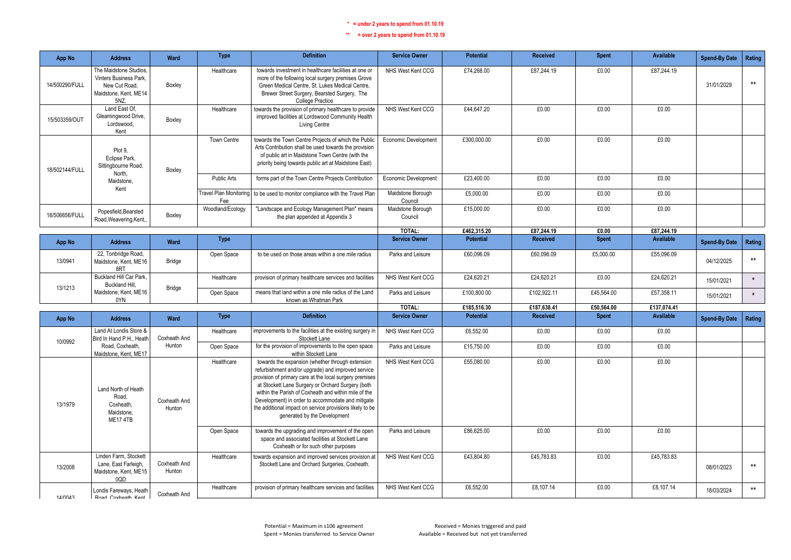| App No         | <b>Address</b>                                                                                     | Ward                   | <b>Type</b>                   | <b>Definition</b>                                                                                                                                                                                                                                                                                                                                                                                                               | <b>Service Owner</b>         | <b>Potential</b> | <b>Received</b> | <b>Spent</b> | Available   | <b>Spend-By Date</b> | Rating       |
|----------------|----------------------------------------------------------------------------------------------------|------------------------|-------------------------------|---------------------------------------------------------------------------------------------------------------------------------------------------------------------------------------------------------------------------------------------------------------------------------------------------------------------------------------------------------------------------------------------------------------------------------|------------------------------|------------------|-----------------|--------------|-------------|----------------------|--------------|
| 14/500290/FULL | The Maidstone Studios,<br>Vinters Business Park,<br>New Cut Road,<br>Maidstone, Kent, ME14<br>5NZ, | Boxley                 | Healthcare                    | towards investment in healthcare facilities at one or<br>more of the following local surgery premises Grove<br>Green Medical Centre, St. Lukes Medical Centre,<br>Brewer Street Surgery, Bearsted Surgery, The<br>College Practice                                                                                                                                                                                              | NHS West Kent CCG            | £74,268.00       | £87,244.19      | £0.00        | £87,244.19  | 31/01/2029           | $***$        |
| 15/503359/OUT  | Land East Of.<br>Gleamingwood Drive,<br>Lordswood.<br>Kent                                         | Boxley                 | Healthcare                    | towards the provision of primary healthcare to provide<br>improved facilities at Lordswood Community Health<br>Living Centre                                                                                                                                                                                                                                                                                                    | NHS West Kent CCG            | £44.647.20       | £0.00           | £0.00        | £0.00       |                      |              |
| 18/502144/FULL | Plot 9,<br>Eclipse Park,<br>Sittingbourne Road,<br>North,                                          | Boxley                 | <b>Town Centre</b>            | towards the Town Centre Projects of which the Public<br>Arts Contribution shall be used towards the provision<br>of public art in Maidstone Town Centre (with the<br>priority being towards public art at Maidstone East)                                                                                                                                                                                                       | Economic Development         | £300,000.00      | £0.00           | £0.00        | £0.00       |                      |              |
|                | Maidstone.<br>Kent                                                                                 |                        | <b>Public Arts</b>            | forms part of the Town Centre Projects Contribution                                                                                                                                                                                                                                                                                                                                                                             | Economic Development         | £23,400.00       | £0.00           | £0.00        | £0.00       |                      |              |
|                |                                                                                                    |                        | Travel Plan Monitoring<br>Fee | to be used to monitor compliance with the Travel Plan                                                                                                                                                                                                                                                                                                                                                                           | Maidstone Borough<br>Council | £5,000.00        | £0.00           | £0.00        | £0.00       |                      |              |
| 18/506656/FULL | Popesfield, Bearsted<br>Road, Weavering, Kent,                                                     | Boxley                 | Woodland/Ecology              | "Landscape and Ecology Management Plan" means<br>the plan appended at Appendix 3                                                                                                                                                                                                                                                                                                                                                | Maidstone Borough<br>Council | £15,000.00       | £0.00           | £0.00        | £0.00       |                      |              |
|                |                                                                                                    |                        |                               |                                                                                                                                                                                                                                                                                                                                                                                                                                 | TOTAL:                       | £462.315.20      | £87.244.19      | £0.00        | £87.244.19  |                      |              |
| App No         | <b>Address</b>                                                                                     | Ward                   | <b>Type</b>                   |                                                                                                                                                                                                                                                                                                                                                                                                                                 | <b>Service Owner</b>         | <b>Potential</b> | Received        | <b>Spent</b> | Available   | <b>Spend-By Date</b> | Rating       |
| 13/0941        | 22, Tonbridge Road,<br>Maidstone, Kent, ME16<br>8RT                                                | Bridge                 | Open Space                    | to be used on those areas within a one mile radius                                                                                                                                                                                                                                                                                                                                                                              | Parks and Leisure            | £60,096.09       | £60,096.09      | £5,000.00    | £55,096.09  | 04/12/2025           | $***$        |
| 13/1213        | Buckland Hill Car Park,<br>Buckland Hill,                                                          |                        | Healthcare                    | provision of primary healthcare services and facilities                                                                                                                                                                                                                                                                                                                                                                         | NHS West Kent CCG            | £24,620.21       | £24,620.21      | £0.00        | £24,620.21  | 15/01/2021           | $\star$      |
|                | Maidstone, Kent, ME16<br>0YN                                                                       | Bridge                 | Open Space                    | means that land within a one mile radius of the Land<br>known as Whatman Park                                                                                                                                                                                                                                                                                                                                                   | Parks and Leisure            | £100,800.00      | £102,922.11     | £45,564.00   | £57,358.11  | 15/01/2021           | $\star$      |
|                |                                                                                                    |                        |                               |                                                                                                                                                                                                                                                                                                                                                                                                                                 | TOTAL:                       | £185,516.30      | £187,638.41     | £50,564.00   | £137,074.41 |                      |              |
| App No         | <b>Address</b>                                                                                     | Ward                   | <b>Type</b>                   | <b>Definition</b>                                                                                                                                                                                                                                                                                                                                                                                                               | <b>Service Owner</b>         | <b>Potential</b> | Received        | <b>Spent</b> | Available   | <b>Spend-By Date</b> | Rating       |
| 10/0992        | Land At Londis Store &<br>Bird In Hand P.H., Heath                                                 | Coxheath And           | Healthcare                    | improvements to the facilities at the existing surgery in<br>Stockett Lane                                                                                                                                                                                                                                                                                                                                                      | NHS West Kent CCG            | £6,552.00        | £0.00           | £0.00        | £0.00       |                      |              |
|                | Road, Coxheath.<br>Maidstone, Kent, ME17                                                           | Hunton                 | Open Space                    | for the provision of improvements to the open space<br>within Stockett Lane                                                                                                                                                                                                                                                                                                                                                     | Parks and Leisure            | £15,750.00       | £0.00           | £0.00        | £0.00       |                      |              |
| 13/1979        | Land North of Heath<br>Road.<br>Coxheath,<br>Maidstone.<br>ME174TB                                 | Coxheath And<br>Hunton | Healthcare                    | towards the expansion (whether through extension<br>refurbishment and/or upgrade) and improved service<br>provision of primary care at the local surgery premises<br>at Stockett Lane Surgery or Orchard Surgery (both<br>within the Parish of Coxheath and within mile of the<br>Development) in order to accommodate and mitigate<br>the additional impact on service provisions likely to be<br>generated by the Development | NHS West Kent CCG            | £55,080.00       | £0.00           | £0.00        | £0.00       |                      |              |
|                |                                                                                                    |                        | Open Space                    | towards the upgrading and improvement of the open<br>space and associated facilities at Stockett Lane<br>Coxheath or for such other purposes                                                                                                                                                                                                                                                                                    | Parks and Leisure            | £86,625.00       | £0.00           | £0.00        | £0.00       |                      |              |
| 13/2008        | Linden Farm, Stockett<br>Lane, East Farleigh,<br>Maidstone, Kent, ME15<br>0QD                      | Coxheath And<br>Hunton | Healthcare                    | towards expansion and improved services provision at<br>Stockett Lane and Orchard Surgeries, Coxheath.                                                                                                                                                                                                                                                                                                                          | NHS West Kent CCG            | £43,804.80       | £45,783.83      | £0.00        | £45,783.83  | 08/01/2023           | $\star\star$ |
| 14/0043        | Londis Fareways, Heath<br>Road Coybeath Kent                                                       | Coxheath And           | Healthcare                    | provision of primary healthcare services and facilities                                                                                                                                                                                                                                                                                                                                                                         | NHS West Kent CCG            | £6,552.00        | £8,107.14       | £0.00        | £8,107.14   | 18/03/2024           | $***$        |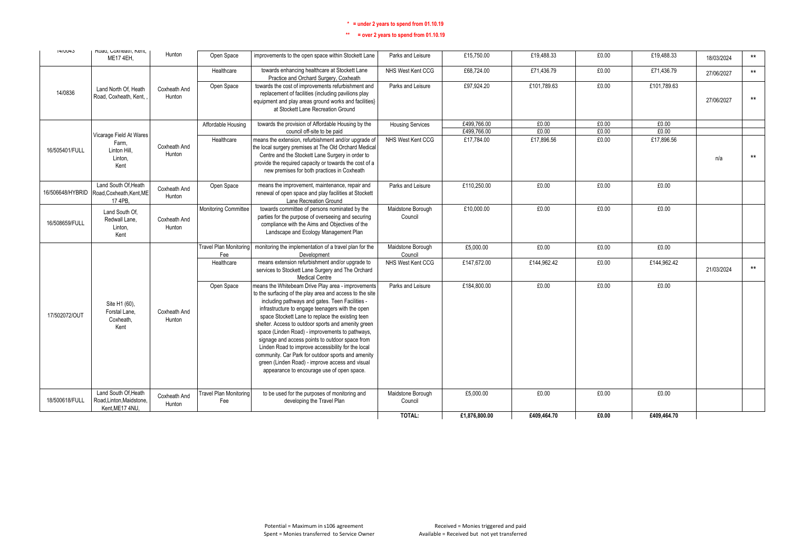| <b>14/UU40</b>   | Kudu, CUXIIEdIII, NEIII,<br>ME17 4EH,                             | Hunton                 | Open Space                           | improvements to the open space within Stockett Lane                                                                                                                                                                                                                                                                                                                                                                                                                                                                                                                                                                                                 | Parks and Leisure            | £15,750.00    | £19,488.33  | £0.00 | £19,488.33  | 18/03/2024 | $***$ |
|------------------|-------------------------------------------------------------------|------------------------|--------------------------------------|-----------------------------------------------------------------------------------------------------------------------------------------------------------------------------------------------------------------------------------------------------------------------------------------------------------------------------------------------------------------------------------------------------------------------------------------------------------------------------------------------------------------------------------------------------------------------------------------------------------------------------------------------------|------------------------------|---------------|-------------|-------|-------------|------------|-------|
|                  |                                                                   |                        | Healthcare                           | towards enhancing healthcare at Stockett Lane<br>Practice and Orchard Surgery, Coxheath                                                                                                                                                                                                                                                                                                                                                                                                                                                                                                                                                             | NHS West Kent CCG            | £68,724.00    | £71,436.79  | £0.00 | £71,436.79  | 27/06/2027 | $***$ |
| 14/0836          | Land North Of. Heath<br>Road, Coxheath, Kent,                     | Coxheath And<br>Hunton | Open Space                           | towards the cost of improvements refurbishment and<br>replacement of facilities (including pavilions play<br>equipment and play areas ground works and facilities}<br>at Stockett Lane Recreation Ground                                                                                                                                                                                                                                                                                                                                                                                                                                            | Parks and Leisure            | £97,924.20    | £101,789.63 | £0.00 | £101,789.63 | 27/06/2027 | $***$ |
|                  |                                                                   |                        | Affordable Housing                   | towards the provision of Affordable Housing by the                                                                                                                                                                                                                                                                                                                                                                                                                                                                                                                                                                                                  | <b>Housing Services</b>      | £499,766.00   | £0.00       | £0.00 | £0.00       |            |       |
|                  | Vicarage Field At Wares                                           |                        |                                      | council off-site to be paid                                                                                                                                                                                                                                                                                                                                                                                                                                                                                                                                                                                                                         |                              | £499,766.00   | £0.00       | £0.00 | £0.00       |            |       |
| 16/505401/FULL   | Farm.<br>Linton Hill.<br>Linton.<br>Kent                          | Coxheath And<br>Hunton | Healthcare                           | means the extension, refurbishment and/or upgrade of<br>the local surgery premises at The Old Orchard Medical<br>Centre and the Stockett Lane Surgery in order to<br>provide the required capacity or towards the cost of a<br>new premises for both practices in Coxheath                                                                                                                                                                                                                                                                                                                                                                          | NHS West Kent CCG            | £17,784.00    | £17,896.56  | £0.00 | £17,896.56  | n/a        | $***$ |
| 16/506648/HYBRID | Land South Of, Heath<br>Road, Coxheath, Kent, ME<br>17 4PB.       | Coxheath And<br>Hunton | Open Space                           | means the improvement, maintenance, repair and<br>renewal of open space and play facilities at Stockett<br>Lane Recreation Ground                                                                                                                                                                                                                                                                                                                                                                                                                                                                                                                   | Parks and Leisure            | £110.250.00   | £0.00       | £0.00 | £0.00       |            |       |
| 16/508659/FULL   | Land South Of.<br>Redwall Lane.<br>Linton,<br>Kent                | Coxheath And<br>Hunton | Monitoring Committee                 | towards committee of persons nominated by the<br>parties for the purpose of overseeing and securing<br>compliance with the Aims and Objectives of the<br>Landscape and Ecology Management Plan                                                                                                                                                                                                                                                                                                                                                                                                                                                      | Maidstone Borough<br>Council | £10,000.00    | £0.00       | £0.00 | £0.00       |            |       |
|                  |                                                                   |                        | Travel Plan Monitoring<br>Fee        | monitoring the implementation of a travel plan for the<br>Development                                                                                                                                                                                                                                                                                                                                                                                                                                                                                                                                                                               | Maidstone Borough<br>Council | £5,000.00     | £0.00       | £0.00 | £0.00       |            |       |
|                  |                                                                   |                        | Healthcare                           | means extension refurbishment and/or upgrade to<br>services to Stockett Lane Surgery and The Orchard<br><b>Medical Centre</b>                                                                                                                                                                                                                                                                                                                                                                                                                                                                                                                       | NHS West Kent CCG            | £147,672.00   | £144,962.42 | £0.00 | £144,962.42 | 21/03/2024 | $***$ |
| 17/502072/OUT    | Site H1 (60),<br>Forstal Lane.<br>Coxheath.<br>Kent               | Coxheath And<br>Hunton | Open Space                           | means the Whitebeam Drive Play area - improvements<br>to the surfacing of the play area and access to the site<br>including pathways and gates. Teen Facilities -<br>infrastructure to engage teenagers with the open<br>space Stockett Lane to replace the existing teen<br>shelter. Access to outdoor sports and amenity green<br>space (Linden Road) - improvements to pathways,<br>signage and access points to outdoor space from<br>Linden Road to improve accessibility for the local<br>community. Car Park for outdoor sports and amenity<br>green (Linden Road) - improve access and visual<br>appearance to encourage use of open space. | Parks and Leisure            | £184.800.00   | £0.00       | £0.00 | £0.00       |            |       |
| 18/500618/FULL   | Land South Of.Heath<br>Road, Linton, Maidstone,<br>Kent.ME17 4NU. | Coxheath And<br>Hunton | <b>Travel Plan Monitoring</b><br>Fee | to be used for the purposes of monitoring and<br>developing the Travel Plan                                                                                                                                                                                                                                                                                                                                                                                                                                                                                                                                                                         | Maidstone Borough<br>Council | £5,000.00     | £0.00       | £0.00 | £0.00       |            |       |
|                  |                                                                   |                        |                                      |                                                                                                                                                                                                                                                                                                                                                                                                                                                                                                                                                                                                                                                     | TOTAL:                       | £1,876,800.00 | £409.464.70 | £0.00 | £409.464.70 |            |       |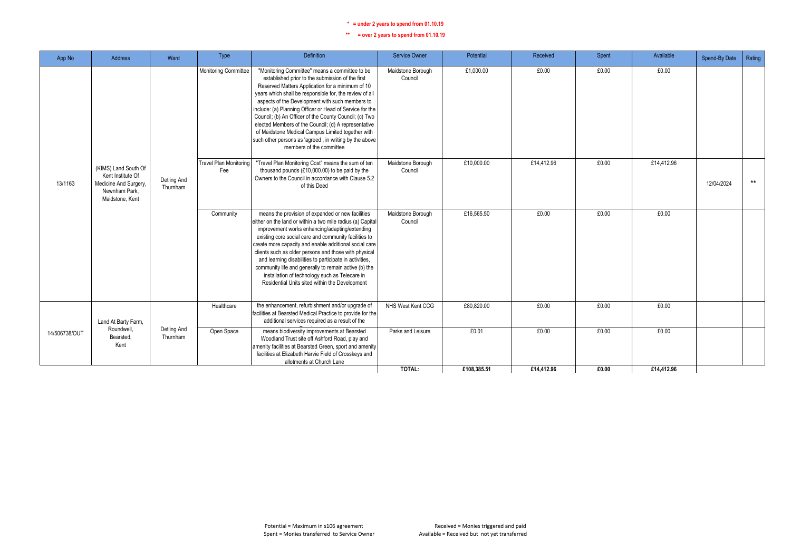| App No        | Address                                                                                                | Ward                    | Type                          | Definition                                                                                                                                                                                                                                                                                                                                                                                                                                                                                                                                                                                    | <b>Service Owner</b>         | Potential   | Received   | Spent | Available  | Spend-By Date | Rating |
|---------------|--------------------------------------------------------------------------------------------------------|-------------------------|-------------------------------|-----------------------------------------------------------------------------------------------------------------------------------------------------------------------------------------------------------------------------------------------------------------------------------------------------------------------------------------------------------------------------------------------------------------------------------------------------------------------------------------------------------------------------------------------------------------------------------------------|------------------------------|-------------|------------|-------|------------|---------------|--------|
|               |                                                                                                        |                         | <b>Monitoring Committee</b>   | "Monitoring Committee" means a committee to be<br>established prior to the submission of the first<br>Reserved Matters Application for a minimum of 10<br>years which shall be responsible for, the review of all<br>aspects of the Development with such members to<br>include: (a) Planning Officer or Head of Service for the<br>Council; (b) An Officer of the County Council; (c) Two<br>elected Members of the Council; (d) A representative<br>of Maidstone Medical Campus Limited together with<br>such other persons as 'agreed, in writing by the above<br>members of the committee | Maidstone Borough<br>Council | £1,000.00   | £0.00      | £0.00 | £0.00      |               |        |
| 13/1163       | (KIMS) Land South Of<br>Kent Institute Of<br>Medicine And Surgery,<br>Newnham Park.<br>Maidstone, Kent | Detling And<br>Thurnham | Travel Plan Monitoring<br>Fee | "Travel Plan Monitoring Cost" means the sum of ten<br>thousand pounds (£10,000.00) to be paid by the<br>Owners to the Council in accordance with Clause 5.2<br>of this Deed                                                                                                                                                                                                                                                                                                                                                                                                                   | Maidstone Borough<br>Council | £10,000.00  | £14,412.96 | £0.00 | £14,412.96 | 12/04/2024    | $***$  |
|               |                                                                                                        |                         | Community                     | means the provision of expanded or new facilities<br>either on the land or within a two mile radius (a) Capital<br>improvement works enhancing/adapting/extending<br>existing core social care and community facilities to<br>create more capacity and enable additional social care<br>clients such as older persons and those with physical<br>and learning disabilities to participate in activities,<br>community life and generally to remain active (b) the<br>installation of technology such as Telecare in<br>Residential Units sited within the Development                         | Maidstone Borough<br>Council | £16,565.50  | £0.00      | £0.00 | £0.00      |               |        |
|               | Land At Barty Farm,                                                                                    |                         | Healthcare                    | the enhancement, refurbishment and/or upgrade of<br>facilities at Bearsted Medical Practice to provide for the<br>additional services required as a result of the                                                                                                                                                                                                                                                                                                                                                                                                                             | NHS West Kent CCG            | £80.820.00  | £0.00      | £0.00 | £0.00      |               |        |
| 14/506738/OUT | Roundwell<br>Bearsted.<br>Kent                                                                         | Detling And<br>Thurnham | Open Space                    | means biodiversity improvements at Bearsted<br>Woodland Trust site off Ashford Road, play and<br>amenity facilities at Bearsted Green, sport and amenity<br>facilities at Elizabeth Harvie Field of Crosskeys and<br>allotments at Church Lane                                                                                                                                                                                                                                                                                                                                                | Parks and Leisure            | £0.01       | £0.00      | £0.00 | £0.00      |               |        |
|               |                                                                                                        |                         |                               |                                                                                                                                                                                                                                                                                                                                                                                                                                                                                                                                                                                               | TOTAL:                       | £108,385.51 | £14,412.96 | £0.00 | £14,412.96 |               |        |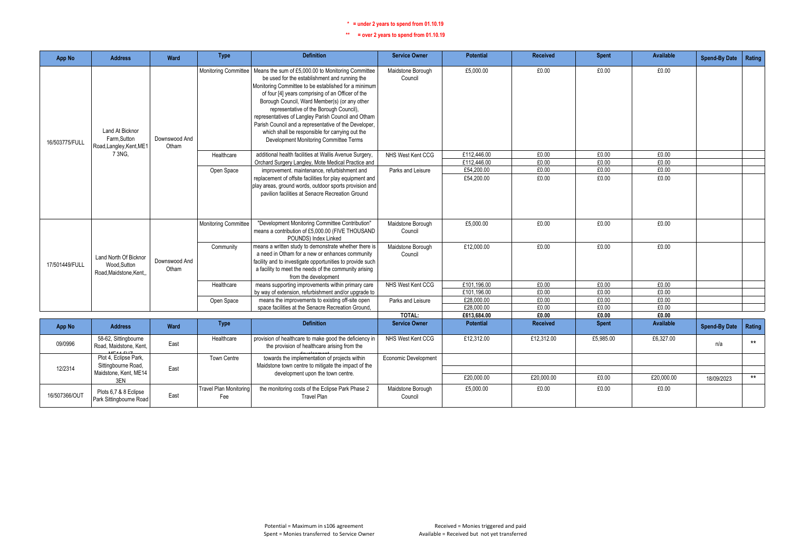| App No         | <b>Address</b>                                                    | Ward                   | <b>Type</b>                          | <b>Definition</b>                                                                                                                                                                                                                                                                                                                                                                                                                                                                                                                               | <b>Service Owner</b>         | <b>Potential</b>          | <b>Received</b> | <b>Spent</b>   | Available        | <b>Spend-By Date</b> | Rating |
|----------------|-------------------------------------------------------------------|------------------------|--------------------------------------|-------------------------------------------------------------------------------------------------------------------------------------------------------------------------------------------------------------------------------------------------------------------------------------------------------------------------------------------------------------------------------------------------------------------------------------------------------------------------------------------------------------------------------------------------|------------------------------|---------------------------|-----------------|----------------|------------------|----------------------|--------|
| 16/503775/FULL | <b>Land At Bicknor</b><br>Farm.Sutton<br>Road, Langley, Kent, ME1 | Downswood And<br>Otham |                                      | Monitoring Committee   Means the sum of £5,000.00 to Monitoring Committee<br>be used for the establishment and running the<br>Monitoring Committee to be established for a minimum<br>of four [4] years comprising of an Officer of the<br>Borough Council, Ward Member(s) (or any other<br>representative of the Borough Council)<br>representatives of Langley Parish Council and Otham<br>Parish Council and a representative of the Developer.<br>which shall be responsible for carrying out the<br>Development Monitoring Committee Terms | Maidstone Borough<br>Council | £5,000.00                 | £0.00           | £0.00          | £0.00            |                      |        |
|                | 73NG.                                                             |                        | Healthcare                           | additional health facilities at Wallis Avenue Surgery,                                                                                                                                                                                                                                                                                                                                                                                                                                                                                          | NHS West Kent CCG            | £112.446.00               | £0.00           | £0.00          | £0.00            |                      |        |
|                |                                                                   |                        |                                      | Orchard Surgery Langley, Mote Medical Practice and                                                                                                                                                                                                                                                                                                                                                                                                                                                                                              |                              | £112,446.00               | £0.00           | £0.00          | £0.00            |                      |        |
|                |                                                                   |                        | Open Space                           | improvement. maintenance, refurbishment and                                                                                                                                                                                                                                                                                                                                                                                                                                                                                                     | Parks and Leisure            | £54,200.00                | £0.00           | £0.00          | £0.00            |                      |        |
|                |                                                                   |                        |                                      | replacement of offsite facilities for play equipment and<br>play areas, ground words, outdoor sports provision and<br>pavilion facilities at Senacre Recreation Ground                                                                                                                                                                                                                                                                                                                                                                          |                              | £54,200.00                | £0.00           | £0.00          | £0.00            |                      |        |
|                |                                                                   |                        | Monitoring Committee                 | "Development Monitoring Committee Contribution"<br>means a contribution of £5,000.00 (FIVE THOUSAND<br>POUNDS) Index Linked                                                                                                                                                                                                                                                                                                                                                                                                                     | Maidstone Borough<br>Council | £5,000.00                 | £0.00           | £0.00          | £0.00            |                      |        |
| 17/501449/FULL | Land North Of Bicknor<br>Wood, Sutton<br>Road.Maidstone.Kent.     | Downswood And<br>Otham | Community                            | means a written study to demonstrate whether there is<br>a need in Otham for a new or enhances community<br>facility and to investigate opportunities to provide such<br>a facility to meet the needs of the community arising<br>from the development                                                                                                                                                                                                                                                                                          | Maidstone Borough<br>Council | £12,000.00                | £0.00           | £0.00          | £0.00            |                      |        |
|                |                                                                   |                        | Healthcare                           | means supporting improvements within primary care                                                                                                                                                                                                                                                                                                                                                                                                                                                                                               | NHS West Kent CCG            | £101,196.00               | £0.00           | £0.00          | £0.00            |                      |        |
|                |                                                                   |                        |                                      | by way of extension, refurbishment and/or upgrade to                                                                                                                                                                                                                                                                                                                                                                                                                                                                                            |                              | £101,196.00               | £0.00           | £0.00          | £0.00            |                      |        |
|                |                                                                   |                        | Open Space                           | means the improvements to existing off-site open                                                                                                                                                                                                                                                                                                                                                                                                                                                                                                | Parks and Leisure            | £28,000.00                | £0.00           | £0.00          | £0.00            |                      |        |
|                |                                                                   |                        |                                      | space facilities at the Senacre Recreation Ground,                                                                                                                                                                                                                                                                                                                                                                                                                                                                                              | TOTAL:                       | £28,000.00<br>£613,684.00 | £0.00<br>£0.00  | £0.00<br>£0.00 | £0.00<br>£0.00   |                      |        |
|                |                                                                   |                        | <b>Type</b>                          | <b>Definition</b>                                                                                                                                                                                                                                                                                                                                                                                                                                                                                                                               | <b>Service Owner</b>         | <b>Potential</b>          | <b>Received</b> | <b>Spent</b>   | <b>Available</b> |                      |        |
| <b>App No</b>  | <b>Address</b>                                                    | <b>Ward</b>            |                                      |                                                                                                                                                                                                                                                                                                                                                                                                                                                                                                                                                 |                              |                           |                 |                |                  | <b>Spend-By Date</b> | Rating |
| 09/0996        | 58-62, Sittingbourne<br>Road, Maidstone, Kent.<br>MCAA EUT        | East                   | Healthcare                           | provision of healthcare to make good the deficiency in<br>the provision of healthcare arising from the                                                                                                                                                                                                                                                                                                                                                                                                                                          | NHS West Kent CCG            | £12,312.00                | £12,312.00      | £5,985.00      | £6,327.00        | n/a                  | $***$  |
| 12/2314        | Plot 4, Eclipse Park,<br>Sittingbourne Road,                      | East                   | Town Centre                          | towards the implementation of projects within<br>Maidstone town centre to mitigate the impact of the                                                                                                                                                                                                                                                                                                                                                                                                                                            | Economic Development         |                           |                 |                |                  |                      |        |
|                | Maidstone, Kent, ME14<br>3EN                                      |                        |                                      | development upon the town centre.                                                                                                                                                                                                                                                                                                                                                                                                                                                                                                               |                              | £20,000.00                | £20,000.00      | £0.00          | £20,000.00       | 18/09/2023           | $***$  |
| 16/507366/OUT  | Plots 6,7 & 8 Eclipse<br>Park Sittingbourne Road                  | East                   | <b>Travel Plan Monitoring</b><br>Fee | the monitoring costs of the Eclipse Park Phase 2<br><b>Travel Plan</b>                                                                                                                                                                                                                                                                                                                                                                                                                                                                          | Maidstone Borough<br>Council | £5,000.00                 | £0.00           | £0.00          | £0.00            |                      |        |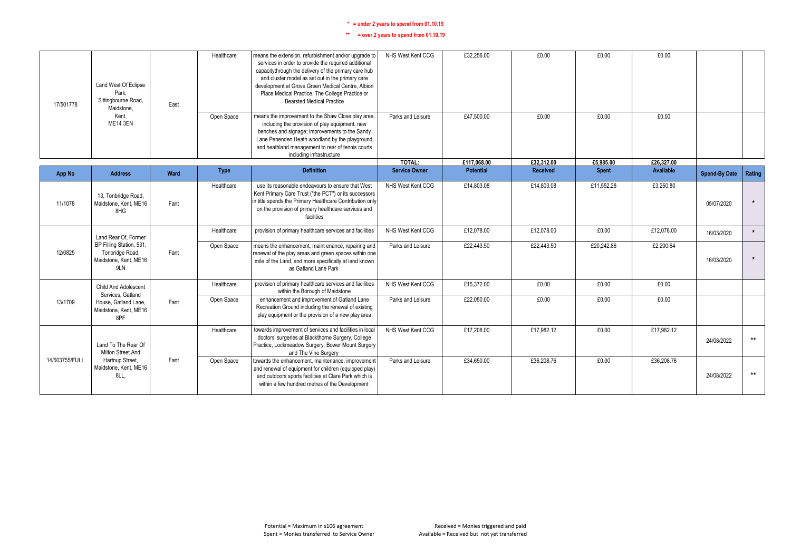| 17/501778      | Land West Of Eclipse<br>Park.<br>Sittingbourne Road,<br>Maidstone.          | East | Healthcare  | means the extension, refurbishment and/or upgrade to<br>services in order to provide the required additional<br>capacitythrough the delivery of the primary care hub<br>and cluster model as set out in the primary care<br>development at Grove Green Medical Centre, Albion<br>Place Medical Practice, The College Practice or<br><b>Bearsted Medical Practice</b> | NHS West Kent CCG              | £32,256.00               | £0.00                  | £0.00        | £0.00                   |                      |         |
|----------------|-----------------------------------------------------------------------------|------|-------------|----------------------------------------------------------------------------------------------------------------------------------------------------------------------------------------------------------------------------------------------------------------------------------------------------------------------------------------------------------------------|--------------------------------|--------------------------|------------------------|--------------|-------------------------|----------------------|---------|
|                | Kent.<br><b>ME14 3EN</b>                                                    |      | Open Space  | means the improvement to the Shaw Close play area,<br>including the provision of play equipment, new<br>benches and signage; improvements to the Sandy<br>Lane Penenden Heath woodland by the playground<br>and heathland management to rear of tennis courts<br>including infrastructure                                                                            | Parks and Leisure              | £47.500.00               | £0.00                  | £0.00        | £0.00                   |                      |         |
|                |                                                                             |      |             | <b>Definition</b>                                                                                                                                                                                                                                                                                                                                                    | TOTAL:<br><b>Service Owner</b> | £117.068.00<br>Potential | £32.312.00<br>Received | £5,985.00    | £26,327.00<br>Available |                      |         |
| App No         | <b>Address</b>                                                              | Ward | <b>Type</b> |                                                                                                                                                                                                                                                                                                                                                                      |                                |                          |                        | <b>Spent</b> |                         | <b>Spend-By Date</b> | Rating  |
| 11/1078        | 13, Tonbridge Road,<br>Maidstone, Kent, ME16<br>8HG                         | Fant | Healthcare  | use its reasonable endeavours to ensure that West<br>Kent Primary Care Trust ("the PCT") or its successors<br>in title spends the Primary Healthcare Contribution only<br>on the provision of primary healthcare services and<br>facilities                                                                                                                          | NHS West Kent CCG              | £14,803.08               | £14,803.08             | £11,552.28   | £3,250.80               | 05/07/2020           | $\star$ |
|                | Land Rear Of, Former                                                        |      | Healthcare  | provision of primary healthcare services and facilities                                                                                                                                                                                                                                                                                                              | NHS West Kent CCG              | £12.078.00               | £12.078.00             | £0.00        | £12.078.00              | 16/03/2020           | $\star$ |
| 12/0825        | BP Filling Station, 531,<br>Tonbridge Road,<br>Maidstone, Kent, ME16<br>9LN | Fant | Open Space  | means the enhancement, maint enance, repairing and<br>renewal of the play areas and green spaces within one<br>mile of the Land, and more specifically at land known<br>as Gatland Lane Park                                                                                                                                                                         | Parks and Leisure              | £22,443.50               | £22,443.50             | £20,242.86   | £2,200.64               | 16/03/2020           | $\star$ |
|                | Child And Adolescent<br>Services, Gatland                                   |      | Healthcare  | provision of primary healthcare services and facilities<br>within the Borough of Maidstone                                                                                                                                                                                                                                                                           | NHS West Kent CCG              | £15,372.00               | £0.00                  | £0.00        | £0.00                   |                      |         |
| 13/1709        | House, Gatland Lane.<br>Maidstone, Kent, ME16<br>8PF                        | Fant | Open Space  | enhancement and improvement of Gatland Lane<br>Recreation Ground including the renewal of existing<br>play equipment or the provision of a new play area                                                                                                                                                                                                             | Parks and Leisure              | £22,050.00               | £0.00                  | £0.00        | £0.00                   |                      |         |
|                | Land To The Rear Of<br>Milton Street And                                    |      | Healthcare  | towards improvement of services and facilities in local<br>doctors' surgeries at Blackthorne Surgery, College<br>Practice, Lockmeadow Surgery, Bower Mount Surgery<br>and The Vine Surgery                                                                                                                                                                           | NHS West Kent CCG              | £17,208.00               | £17,982.12             | £0.00        | £17,982.12              | 24/08/2022           | $***$   |
| 14/503755/FULL | Hartnup Street,<br>Maidstone, Kent, ME16<br>8LL.                            | Fant | Open Space  | towards the enhancement, maintenance, improvement<br>and renewal of equipment for children (equipped play)<br>and outdoors sports facilities at Clare Park which is<br>within a few hundred metres of the Development                                                                                                                                                | Parks and Leisure              | £34,650.00               | £36,208.76             | £0.00        | £36,208.76              | 24/08/2022           | $***$   |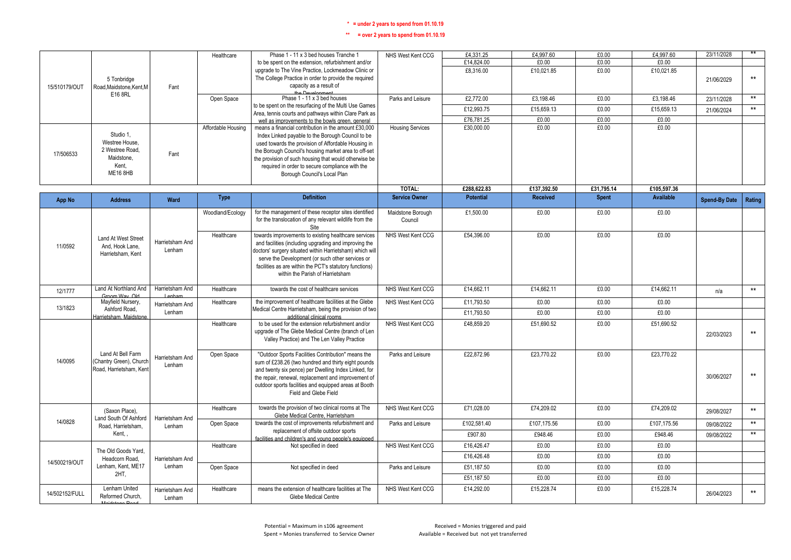|                |                                                    |                 | Healthcare         | Phase 1 - 11 x 3 bed houses Tranche 1                                                                            | NHS West Kent CCG            | £4,331.25        | £4,997.60       | £0.00        | £4,997.60        | 23/11/2028           | $***$           |
|----------------|----------------------------------------------------|-----------------|--------------------|------------------------------------------------------------------------------------------------------------------|------------------------------|------------------|-----------------|--------------|------------------|----------------------|-----------------|
|                |                                                    |                 |                    | to be spent on the extension, refurbishment and/or                                                               |                              | £14,824.00       | £0.00           | £0.00        | £0.00            |                      |                 |
|                |                                                    |                 |                    | upgrade to The Vine Practice, Lockmeadow Clinic or<br>The College Practice in order to provide the required      |                              | £8,316.00        | £10,021.85      | £0.00        | £10,021.85       |                      | $\star\star$    |
| 15/510179/OUT  | 5 Tonbridge<br>Road, Maidstone, Kent, M            | Fant            |                    | capacity as a result of                                                                                          |                              |                  |                 |              |                  | 21/06/2029           |                 |
|                | E16 8RL                                            |                 |                    | the Development                                                                                                  |                              |                  |                 |              |                  |                      |                 |
|                |                                                    |                 | Open Space         | Phase 1 - 11 x 3 bed houses<br>to be spent on the resurfacing of the Multi Use Games                             | Parks and Leisure            | £2,772.00        | £3,198.46       | £0.00        | £3,198.46        | 23/11/2028           | $\star\star$    |
|                |                                                    |                 |                    | Area, tennis courts and pathways within Clare Park as                                                            |                              | £12,993.75       | £15,659.13      | £0.00        | £15,659.13       | 21/06/2024           | $\star\star$    |
|                |                                                    |                 |                    | well as improvements to the bowls green, general                                                                 |                              | £76,781.25       | £0.00           | £0.00        | £0.00            |                      |                 |
|                | Studio 1.                                          |                 | Affordable Housing | means a financial contribution in the amount £30,000                                                             | <b>Housing Services</b>      | £30,000.00       | £0.00           | £0.00        | £0.00            |                      |                 |
|                | Westree House                                      |                 |                    | Index Linked payable to the Borough Council to be<br>used towards the provision of Affordable Housing in         |                              |                  |                 |              |                  |                      |                 |
|                | 2 Westree Road.                                    |                 |                    | the Borough Council's housing market area to off-set                                                             |                              |                  |                 |              |                  |                      |                 |
| 17/506533      | Maidstone.                                         | Fant            |                    | the provision of such housing that would otherwise be                                                            |                              |                  |                 |              |                  |                      |                 |
|                | Kent.                                              |                 |                    | required in order to secure compliance with the                                                                  |                              |                  |                 |              |                  |                      |                 |
|                | <b>ME16 8HB</b>                                    |                 |                    | Borough Council's Local Plan                                                                                     |                              |                  |                 |              |                  |                      |                 |
|                |                                                    |                 |                    |                                                                                                                  | TOTAL:                       | £288,622.83      | £137,392.50     | £31,795.14   | £105,597.36      |                      |                 |
| App No         | <b>Address</b>                                     | Ward            | <b>Type</b>        | <b>Definition</b>                                                                                                | <b>Service Owner</b>         | <b>Potential</b> | <b>Received</b> | <b>Spent</b> | <b>Available</b> | <b>Spend-By Date</b> | Rating          |
|                |                                                    |                 |                    |                                                                                                                  |                              |                  |                 |              |                  |                      |                 |
|                |                                                    |                 | Woodland/Ecology   | for the management of these receptor sites identified<br>for the translocation of any relevant wildlife from the | Maidstone Borough<br>Council | £1,500.00        | £0.00           | £0.00        | £0.00            |                      |                 |
|                |                                                    |                 |                    | Site                                                                                                             |                              |                  |                 |              |                  |                      |                 |
|                | Land At West Street                                |                 | Healthcare         | towards improvements to existing healthcare services                                                             | NHS West Kent CCG            | £54,396.00       | £0.00           | £0.00        | £0.00            |                      |                 |
| 11/0592        | And. Hook Lane.                                    | Harrietsham And |                    | and facilities (including upgrading and improving the                                                            |                              |                  |                 |              |                  |                      |                 |
|                | Harrietsham, Kent                                  | Lenham          |                    | doctors' surgery situated within Harrietsham) which will<br>serve the Development (or such other services or     |                              |                  |                 |              |                  |                      |                 |
|                |                                                    |                 |                    | facilities as are within the PCT's statutory functions)                                                          |                              |                  |                 |              |                  |                      |                 |
|                |                                                    |                 |                    | within the Parish of Harrietsham                                                                                 |                              |                  |                 |              |                  |                      |                 |
| 12/1777        | Land At Northland And                              | Harrietsham And | Healthcare         | towards the cost of healthcare services                                                                          | NHS West Kent CCG            | £14,662.11       | £14,662.11      | £0.00        | £14,662.11       | n/a                  | $***$           |
|                | Groom Way Old<br>Mayfield Nursery,                 |                 |                    | the improvement of healthcare facilities at the Glebe                                                            |                              |                  |                 |              |                  |                      |                 |
| 13/1823        | Ashford Road,                                      | Harrietsham And | Healthcare         | Medical Centre Harrietsham, being the provision of two                                                           | NHS West Kent CCG            | £11,793.50       | £0.00           | £0.00        | £0.00            |                      |                 |
|                | Harrietsham Maidstone                              | Lenham          |                    | additional clinical rooms                                                                                        |                              | £11,793.50       | £0.00           | £0.00        | £0.00            |                      |                 |
|                |                                                    |                 | Healthcare         | to be used for the extension refurbishment and/or                                                                | NHS West Kent CCG            | £48,859.20       | £51,690.52      | £0.00        | £51,690.52       |                      |                 |
|                |                                                    |                 |                    | upgrade of The Glebe Medical Centre (branch of Len<br>Valley Practice) and The Len Valley Practice               |                              |                  |                 |              |                  | 22/03/2023           | $^{\star\star}$ |
|                |                                                    |                 |                    |                                                                                                                  |                              |                  |                 |              |                  |                      |                 |
|                | Land At Bell Farm                                  | Harrietsham And | Open Space         | "Outdoor Sports Facilities Contribution" means the                                                               | Parks and Leisure            | £22,872.96       | £23,770.22      | £0.00        | £23,770.22       |                      |                 |
| 14/0095        | (Chantry Green), Church<br>Road, Harrietsham, Kent | Lenham          |                    | sum of £238.26 (two hundred and thirty eight pounds                                                              |                              |                  |                 |              |                  |                      |                 |
|                |                                                    |                 |                    | and twenty six pence) per Dwelling Index Linked, for<br>the repair, renewal, replacement and improvement of      |                              |                  |                 |              |                  | 30/06/2027           | $***$           |
|                |                                                    |                 |                    | outdoor sports facilities and equipped areas at Booth                                                            |                              |                  |                 |              |                  |                      |                 |
|                |                                                    |                 |                    | Field and Glebe Field                                                                                            |                              |                  |                 |              |                  |                      |                 |
|                |                                                    |                 | Healthcare         | towards the provision of two clinical rooms at The                                                               | NHS West Kent CCG            | £71.028.00       | £74.209.02      | £0.00        | £74.209.02       |                      |                 |
|                | (Saxon Place),<br>Land South Of Ashford            | Harrietsham And |                    | Glebe Medical Centre, Harrietsham                                                                                |                              |                  |                 |              |                  | 29/08/2027           | $^{\star\star}$ |
| 14/0828        | Road, Harrietsham,                                 | Lenham          | Open Space         | towards the cost of improvements refurbishment and                                                               | Parks and Leisure            | £102,581.40      | £107,175.56     | £0.00        | £107,175.56      | 09/08/2022           | $\star\star$    |
|                | Kent,                                              |                 |                    | replacement of offsite outdoor sports<br>facilities and children's and young people's equipped                   |                              | £907.80          | £948.46         | £0.00        | £948.46          | 09/08/2022           | $\star\star$    |
|                |                                                    |                 | Healthcare         | Not specified in deed                                                                                            | NHS West Kent CCG            | £16,426.47       | £0.00           | £0.00        | £0.00            |                      |                 |
|                | The Old Goods Yard.<br>Headcorn Road               | Harrietsham And |                    |                                                                                                                  |                              | £16,426.48       | £0.00           | £0.00        | £0.00            |                      |                 |
| 14/500219/OUT  | Lenham, Kent, ME17                                 | Lenham          | Open Space         | Not specified in deed                                                                                            | Parks and Leisure            | £51,187.50       | £0.00           | £0.00        | £0.00            |                      |                 |
|                | 2HT,                                               |                 |                    |                                                                                                                  |                              | £51,187.50       | £0.00           | £0.00        | £0.00            |                      |                 |
| 14/502152/FULL | Lenham United                                      | Harrietsham And | Healthcare         | means the extension of healthcare facilities at The                                                              | NHS West Kent CCG            | £14,292.00       | £15,228.74      | £0.00        | £15,228.74       | 26/04/2023           | $^{\star\star}$ |
|                | Reformed Church,                                   | Lenham          |                    | Glebe Medical Centre                                                                                             |                              |                  |                 |              |                  |                      |                 |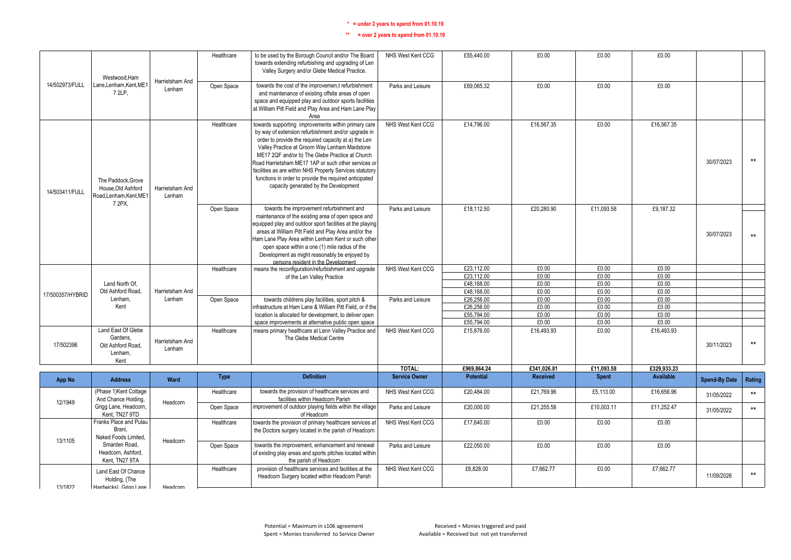|                  | Westwood.Ham                                                             |                           | Healthcare  | to be used by the Borough Council and/or The Board<br>towards extending refurbishing and upgrading of Len<br>Valley Surgery and/or Glebe Medical Practice.                                                                                                                                                                                                                                                                                                                                   | NHS West Kent CCG    | £55,440.00               | £0.00          | £0.00          | £0.00            |                      |              |
|------------------|--------------------------------------------------------------------------|---------------------------|-------------|----------------------------------------------------------------------------------------------------------------------------------------------------------------------------------------------------------------------------------------------------------------------------------------------------------------------------------------------------------------------------------------------------------------------------------------------------------------------------------------------|----------------------|--------------------------|----------------|----------------|------------------|----------------------|--------------|
| 14/502973/FULL   | Lane.Lenham.Kent.ME1<br>7 2LP.                                           | Harrietsham And<br>Lenham | Open Space  | towards the cost of the improvemen.t refurbishment<br>and maintenance of existing offsite areas of open<br>space and equipped play and outdoor sports facilities<br>at William Pitt Field and Play Area and Ham Lane Play<br>Area                                                                                                                                                                                                                                                            | Parks and Leisure    | £69.065.32               | £0.00          | £0.00          | £0.00            |                      |              |
| 14/503411/FULL   | The Paddock.Grove<br>House.Old Ashford<br>Road,Lenham,Kent,ME1<br>7 2PX. | Harrietsham And<br>Lenham | Healthcare  | towards supporting improvements within primary care<br>by way of extension refurbishment and/or upgrade in<br>order to provide the required capacity at a) the Len<br>Valley Practice at Groom Way Lenham Maidstone<br>ME17 2QF and/or b) The Glebe Practice at Church<br>Road Harrietsham ME17 1AP or such other services or<br>facilities as are within NHS Property Services statutory<br>functions in order to provide the required anticipated<br>capacity generated by the Development | NHS West Kent CCG    | £14,796.00               | £16,567.35     | £0.00          | £16,567.35       | 30/07/2023           | $***$        |
|                  |                                                                          |                           | Open Space  | towards the improvement refurbishment and<br>maintenance of the existing area of open space and<br>equipped play and outdoor sport facilities at the playing<br>areas at William Pitt Field and Play Area and/or the<br>Ham Lane Play Area within Lenham Kent or such other<br>open space within a one (1) mile radius of the<br>Development as might reasonably be enjoyed by<br>persons resident in the Development                                                                        | Parks and Leisure    | £18,112.50               | £20,280.90     | £11,093.58     | £9.187.32        | 30/07/2023           | $\star\star$ |
|                  |                                                                          |                           | Healthcare  | means the reconfiguration/refurbishment and upgrade                                                                                                                                                                                                                                                                                                                                                                                                                                          | NHS West Kent CCG    | £23,112.00               | £0.00          | £0.00          | £0.00            |                      |              |
|                  |                                                                          |                           |             | of the Len Valley Practice                                                                                                                                                                                                                                                                                                                                                                                                                                                                   |                      | £23,112.00               | £0.00          | £0.00          | £0.00            |                      |              |
|                  | Land North Of,<br>Old Ashford Road.                                      | Harrietsham And           |             |                                                                                                                                                                                                                                                                                                                                                                                                                                                                                              |                      | £48,168.00<br>£48,168.00 | £0.00<br>£0.00 | £0.00<br>£0.00 | £0.00<br>£0.00   |                      |              |
| 17/500357/HYBRID | Lenham.                                                                  | Lenham                    | Open Space  | towards childrens play facilities, sport pitch &                                                                                                                                                                                                                                                                                                                                                                                                                                             | Parks and Leisure    | £26,256.00               | £0.00          | £0.00          | £0.00            |                      |              |
|                  | Kent                                                                     |                           |             | infrastructure at Ham Lane & William Pitt Field, or if the                                                                                                                                                                                                                                                                                                                                                                                                                                   |                      | £26,256.00               | £0.00          | £0.00          | £0.00            |                      |              |
|                  |                                                                          |                           |             | location is allocated for development, to deliver open                                                                                                                                                                                                                                                                                                                                                                                                                                       |                      | £55,794.00               | £0.00          | £0.00          | £0.00            |                      |              |
|                  |                                                                          |                           |             | space improvements at alternative public open space                                                                                                                                                                                                                                                                                                                                                                                                                                          |                      | £55,794.00               | £0.00          | £0.00          | £0.00            |                      |              |
| 17/502396        | Land East Of Glebe<br>Gardens.<br>Old Ashford Road,<br>Lenham.<br>Kent   | Harrietsham And<br>Lenham | Healthcare  | means primary healthcare at Lenn Valley Practice and<br>The Glebe Medical Centre                                                                                                                                                                                                                                                                                                                                                                                                             | NHS West Kent CCG    | £15,876.00               | £16,493.93     | £0.00          | £16,493.93       | 30/11/2023           | $***$        |
|                  |                                                                          |                           |             |                                                                                                                                                                                                                                                                                                                                                                                                                                                                                              | TOTAL:               | £969,864.24              | £341,026.81    | £11,093.58     | £329,933.23      |                      |              |
| <b>App No</b>    | <b>Address</b>                                                           | Ward                      | <b>Type</b> | <b>Definition</b>                                                                                                                                                                                                                                                                                                                                                                                                                                                                            | <b>Service Owner</b> | <b>Potential</b>         | Received       | <b>Spent</b>   | <b>Available</b> | <b>Spend-By Date</b> | Rating       |
| 12/1949          | (Phase 1) Kent Cottage<br>And Chance Holding,                            | Headcorn                  | Healthcare  | towards the provision of healthcare services and<br>facilities within Headcorn Parish                                                                                                                                                                                                                                                                                                                                                                                                        | NHS West Kent CCG    | £20,484.00               | £21,769.96     | £5,113.00      | £16,656.96       | 31/05/2022           | $\star\star$ |
|                  | Grigg Lane, Headcorn,<br>Kent, TN27 9TD                                  |                           | Open Space  | improvement of outdoor playing fields within the village<br>of Headcorn                                                                                                                                                                                                                                                                                                                                                                                                                      | Parks and Leisure    | £20,000.00               | £21,255.58     | £10,003.11     | £11,252.47       | 31/05/2022           | $\star\star$ |
| 13/1105          | Franks Place and Pulau<br>Brani.<br>Naked Foods Limited.                 | Headcorn                  | Healthcare  | towards the provision of primary healthcare services at<br>the Doctors surgery located in the parish of Headcorn                                                                                                                                                                                                                                                                                                                                                                             | NHS West Kent CCG    | £17,640.00               | £0.00          | £0.00          | £0.00            |                      |              |
|                  | Smarden Road.<br>Headcorn, Ashford,<br>Kent, TN27 9TA                    |                           | Open Space  | towards the improvement, enhancement and renewal<br>of existing play areas and sports pitches located within<br>the parish of Headcorn                                                                                                                                                                                                                                                                                                                                                       | Parks and Leisure    | £22,050.00               | £0.00          | £0.00          | £0.00            |                      |              |
| 13/1822          | Land East Of Chance<br>Holding, (The<br>Hardwicks) Grinn Lane            | Headcorn                  | Healthcare  | provision of healthcare services and facilities at the<br>Headcorn Surgery located within Headcorn Parish                                                                                                                                                                                                                                                                                                                                                                                    | NHS West Kent CCG    | £6,828.00                | £7,662.77      | £0.00          | £7,662.77        | 11/09/2026           | $\star\star$ |
|                  |                                                                          |                           |             |                                                                                                                                                                                                                                                                                                                                                                                                                                                                                              |                      |                          |                |                |                  |                      |              |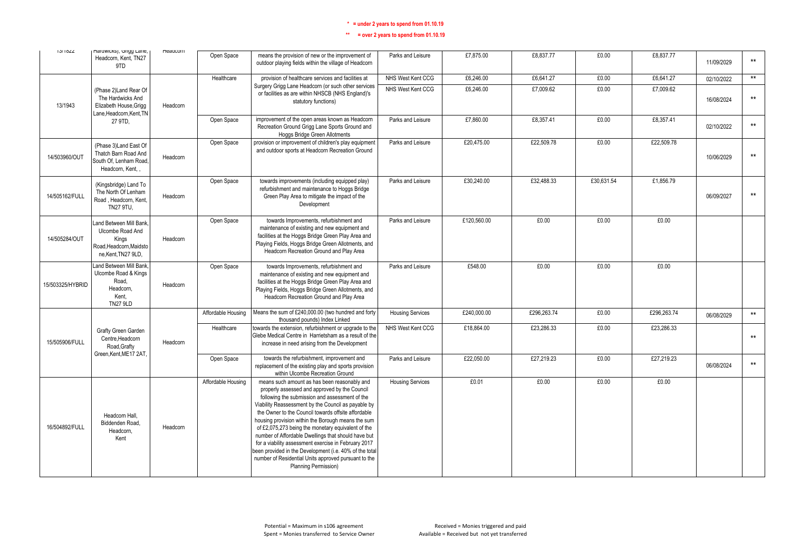| 10/1022          | maruwicks), Grigg Larie,<br>Headcorn, Kent, TN27<br>9TD                                                    | <b>Ineaucom</b> | Open Space         | means the provision of new or the improvement of<br>outdoor playing fields within the village of Headcorn                                                                                                                                                                                                                                                                                                                                                                                                                                                                                                                           | Parks and Leisure       | £7,875.00   | £8,837.77   | £0.00      | £8,837.77   | 11/09/2029 | $**$            |
|------------------|------------------------------------------------------------------------------------------------------------|-----------------|--------------------|-------------------------------------------------------------------------------------------------------------------------------------------------------------------------------------------------------------------------------------------------------------------------------------------------------------------------------------------------------------------------------------------------------------------------------------------------------------------------------------------------------------------------------------------------------------------------------------------------------------------------------------|-------------------------|-------------|-------------|------------|-------------|------------|-----------------|
|                  |                                                                                                            |                 | Healthcare         | provision of healthcare services and facilities at                                                                                                                                                                                                                                                                                                                                                                                                                                                                                                                                                                                  | NHS West Kent CCG       | £6,246.00   | £6,641.27   | £0.00      | £6,641.27   | 02/10/2022 | $\star\star$    |
| 13/1943          | (Phase 2)Land Rear Of<br>The Hardwicks And<br>Elizabeth House, Grigg<br>Lane, Headcorn, Kent, TN           | Headcorn        |                    | Surgery Grigg Lane Headcorn (or such other services<br>or facilities as are within NHSCB (NHS England)'s<br>statutory functions)                                                                                                                                                                                                                                                                                                                                                                                                                                                                                                    | NHS West Kent CCG       | £6,246.00   | £7.009.62   | £0.00      | £7.009.62   | 16/08/2024 | $^{\star\star}$ |
|                  | 27 9TD.                                                                                                    |                 | Open Space         | improvement of the open areas known as Headcorn<br>Recreation Ground Grigg Lane Sports Ground and<br><b>Hoggs Bridge Green Allotments</b>                                                                                                                                                                                                                                                                                                                                                                                                                                                                                           | Parks and Leisure       | £7,860.00   | £8,357.41   | £0.00      | £8,357.41   | 02/10/2022 | $\star\star$    |
| 14/503960/OUT    | (Phase 3) Land East Of<br>Thatch Barn Road And<br>South Of, Lenham Road.<br>Headcorn, Kent, ,              | Headcorn        | Open Space         | provision or improvement of children's play equipment<br>and outdoor sports at Headcorn Recreation Ground                                                                                                                                                                                                                                                                                                                                                                                                                                                                                                                           | Parks and Leisure       | £20,475.00  | £22,509.78  | £0.00      | £22,509.78  | 10/06/2029 | $***$           |
| 14/505162/FULL   | (Kingsbridge) Land To<br>The North Of Lenham<br>Road, Headcorn, Kent,<br>TN27 9TU.                         | Headcorn        | Open Space         | towards improvements (including equipped play)<br>refurbishment and maintenance to Hoggs Bridge<br>Green Play Area to mitigate the impact of the<br>Development                                                                                                                                                                                                                                                                                                                                                                                                                                                                     | Parks and Leisure       | £30,240.00  | £32.488.33  | £30,631.54 | £1.856.79   | 06/09/2027 | $***$           |
| 14/505284/OUT    | <b>Land Between Mill Bank</b><br>Ulcombe Road And<br>Kings<br>Road, Headcorn, Maidsto<br>ne.Kent.TN27 9LD. | Headcorn        | Open Space         | towards Improvements, refurbishment and<br>maintenance of existing and new equipment and<br>facilities at the Hoggs Bridge Green Play Area and<br>Playing Fields, Hoggs Bridge Green Allotments, and<br>Headcorn Recreation Ground and Play Area                                                                                                                                                                                                                                                                                                                                                                                    | Parks and Leisure       | £120,560.00 | £0.00       | £0.00      | £0.00       |            |                 |
| 15/503325/HYBRID | <b>Land Between Mill Bank</b><br>Ulcombe Road & Kings<br>Road.<br>Headcorn.<br>Kent,<br><b>TN27 9LD</b>    | Headcorn        | Open Space         | towards Improvements, refurbishment and<br>maintenance of existing and new equipment and<br>facilities at the Hoggs Bridge Green Play Area and<br>Playing Fields, Hoggs Bridge Green Allotments, and<br>Headcorn Recreation Ground and Play Area                                                                                                                                                                                                                                                                                                                                                                                    | Parks and Leisure       | £548.00     | £0.00       | £0.00      | £0.00       |            |                 |
|                  |                                                                                                            |                 | Affordable Housing | Means the sum of £240,000.00 (two hundred and forty<br>thousand pounds) Index Linked                                                                                                                                                                                                                                                                                                                                                                                                                                                                                                                                                | <b>Housing Services</b> | £240,000.00 | £296,263.74 | £0.00      | £296,263.74 | 06/08/2029 | $***$           |
| 15/505906/FULL   | Grafty Green Garden<br>Centre, Headcorn<br>Road, Grafty                                                    | Headcorn        | Healthcare         | towards the extension, refurbishment or upgrade to the<br>Glebe Medical Centre in Harrietsham as a result of the<br>increase in need arising from the Development                                                                                                                                                                                                                                                                                                                                                                                                                                                                   | NHS West Kent CCG       | £18,864.00  | £23,286.33  | £0.00      | £23,286.33  |            | $***$           |
|                  | Green.Kent.ME17 2AT.                                                                                       |                 | Open Space         | towards the refurbishment, improvement and<br>replacement of the existing play and sports provision<br>within Ulcombe Recreation Ground                                                                                                                                                                                                                                                                                                                                                                                                                                                                                             | Parks and Leisure       | £22,050.00  | £27,219.23  | £0.00      | £27,219.23  | 06/08/2024 | $***$           |
| 16/504892/FULL   | Headcorn Hall.<br>Biddenden Road.<br>Headcorn.<br>Kent                                                     | Headcorn        | Affordable Housing | means such amount as has been reasonably and<br>properly assessed and approved by the Council<br>following the submission and assessment of the<br>Viability Reassessment by the Council as payable by<br>the Owner to the Council towards offsite affordable<br>housing provision within the Borough means the sum<br>of £2,075,273 being the monetary equivalent of the<br>number of Affordable Dwellings that should have but<br>for a viability assessment exercise in February 2017<br>been provided in the Development (i.e. 40% of the total<br>number of Residential Units approved pursuant to the<br>Planning Permission) | <b>Housing Services</b> | £0.01       | £0.00       | £0.00      | £0.00       |            |                 |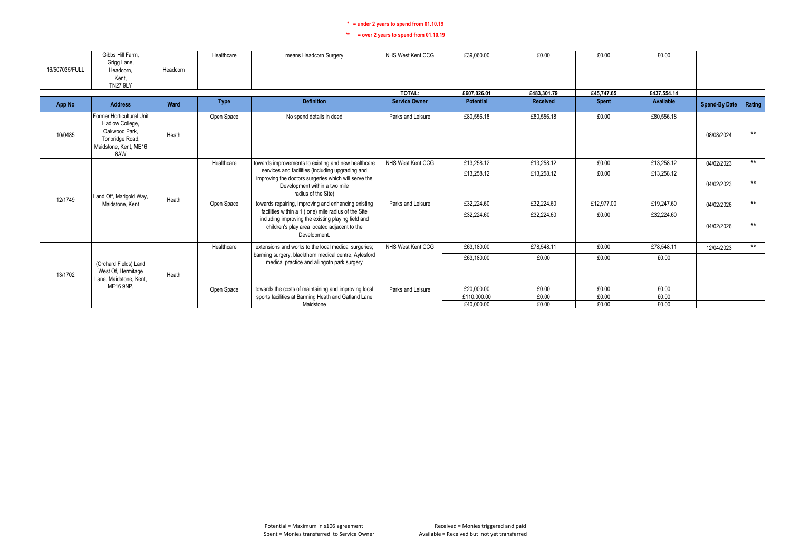| 16/507035/FULL | Gibbs Hill Farm.<br>Grigg Lane,<br>Headcorn.<br>Kent,<br><b>TN27 9LY</b>                                         | Headcorn | Healthcare  | means Headcorn Surgery                                                                                                                                                     | NHS West Kent CCG    | £39.060.00       | £0.00       | £0.00        | £0.00       |                      |        |
|----------------|------------------------------------------------------------------------------------------------------------------|----------|-------------|----------------------------------------------------------------------------------------------------------------------------------------------------------------------------|----------------------|------------------|-------------|--------------|-------------|----------------------|--------|
|                |                                                                                                                  |          |             |                                                                                                                                                                            | TOTAL:               | £607.026.01      | £483.301.79 | £45,747.65   | £437.554.14 |                      |        |
| App No         | <b>Address</b>                                                                                                   | Ward     | <b>Type</b> | <b>Definition</b>                                                                                                                                                          | <b>Service Owner</b> | <b>Potential</b> | Received    | <b>Spent</b> | Available   | <b>Spend-By Date</b> | Rating |
| 10/0485        | Former Horticultural Unit<br>Hadlow College,<br>Oakwood Park.<br>Tonbridge Road,<br>Maidstone, Kent, ME16<br>8AW | Heath    | Open Space  | No spend details in deed                                                                                                                                                   | Parks and Leisure    | £80.556.18       | £80.556.18  | £0.00        | £80.556.18  | 08/08/2024           | $***$  |
|                |                                                                                                                  |          | Healthcare  | towards improvements to existing and new healthcare                                                                                                                        | NHS West Kent CCG    | £13,258.12       | £13,258.12  | £0.00        | £13,258.12  | 04/02/2023           | $***$  |
|                | Land Off, Marigold Way,                                                                                          |          |             | services and facilities (including upgrading and<br>improving the doctors surgeries which will serve the<br>Development within a two mile<br>radius of the Site)           |                      | £13.258.12       | £13.258.12  | £0.00        | £13,258.12  | 04/02/2023           | $***$  |
| 12/1749        | Maidstone, Kent                                                                                                  | Heath    | Open Space  | towards repairing, improving and enhancing existing                                                                                                                        | Parks and Leisure    | £32,224.60       | £32,224.60  | £12,977.00   | £19,247.60  | 04/02/2026           | $***$  |
|                |                                                                                                                  |          |             | facilities within a 1 ( one) mile radius of the Site<br>including improving the existing playing field and<br>children's play area located adjacent to the<br>Development. |                      | £32.224.60       | £32,224.60  | £0.00        | £32,224.60  | 04/02/2026           | $***$  |
|                |                                                                                                                  |          | Healthcare  | extensions and works to the local medical surgeries;                                                                                                                       | NHS West Kent CCG    | £63,180.00       | £78,548.11  | £0.00        | £78.548.11  | 12/04/2023           | $***$  |
| 13/1702        | (Orchard Fields) Land<br>West Of, Hermitage<br>Lane, Maidstone, Kent,                                            | Heath    |             | barming surgery, blackthorn medical centre, Aylesford<br>medical practice and allingotn park surgery                                                                       |                      | £63.180.00       | £0.00       | £0.00        | £0.00       |                      |        |
|                | <b>ME16 9NP.</b>                                                                                                 |          | Open Space  | towards the costs of maintaining and improving local                                                                                                                       | Parks and Leisure    | £20,000.00       | £0.00       | £0.00        | £0.00       |                      |        |
|                |                                                                                                                  |          |             | sports facilities at Barming Heath and Gatland Lane                                                                                                                        |                      | £110.000.00      | £0.00       | £0.00        | £0.00       |                      |        |
|                |                                                                                                                  |          |             | Maidstone                                                                                                                                                                  |                      | £40,000.00       | £0.00       | £0.00        | £0.00       |                      |        |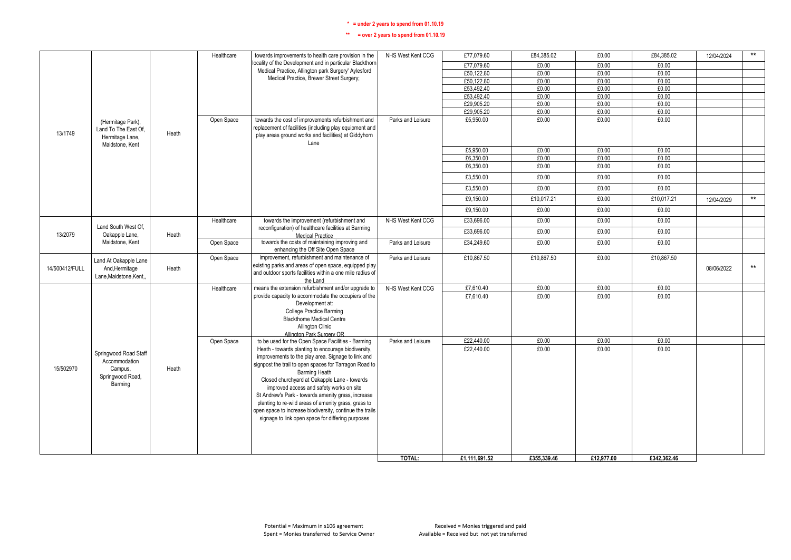|                |                             |       | Healthcare | towards improvements to health care provision in the                                                        | NHS West Kent CCG | £77,079.60    | £84,385.02  | £0.00      | £84,385.02  | 12/04/2024 | $**$         |
|----------------|-----------------------------|-------|------------|-------------------------------------------------------------------------------------------------------------|-------------------|---------------|-------------|------------|-------------|------------|--------------|
|                |                             |       |            | locality of the Development and in particular Blackthorn                                                    |                   | £77,079.60    | £0.00       | £0.00      | £0.00       |            |              |
|                |                             |       |            | Medical Practice, Allington park Surgery' Aylesford                                                         |                   | £50,122.80    | £0.00       | £0.00      | £0.00       |            |              |
|                |                             |       |            | Medical Practice, Brewer Street Surgery;                                                                    |                   | £50,122.80    | £0.00       | £0.00      | £0.00       |            |              |
|                |                             |       |            |                                                                                                             |                   | £53,492.40    | £0.00       | £0.00      | £0.00       |            |              |
|                |                             |       |            |                                                                                                             |                   | £53,492.40    | £0.00       | £0.00      | £0.00       |            |              |
|                |                             |       |            |                                                                                                             |                   | £29,905.20    | £0.00       | £0.00      | £0.00       |            |              |
|                |                             |       |            |                                                                                                             |                   | £29,905.20    | £0.00       | £0.00      | £0.00       |            |              |
|                | (Hermitage Park),           |       | Open Space | towards the cost of improvements refurbishment and                                                          | Parks and Leisure | £5,950.00     | £0.00       | £0.00      | £0.00       |            |              |
|                | Land To The East Of.        |       |            | replacement of facilities (including play equipment and                                                     |                   |               |             |            |             |            |              |
| 13/1749        | Hermitage Lane,             | Heath |            | play areas ground works and facilities) at Giddyhorn                                                        |                   |               |             |            |             |            |              |
|                | Maidstone, Kent             |       |            | Lane                                                                                                        |                   |               |             |            |             |            |              |
|                |                             |       |            |                                                                                                             |                   | £5,950.00     | £0.00       | £0.00      | £0.00       |            |              |
|                |                             |       |            |                                                                                                             |                   | £6,350.00     | £0.00       | £0.00      | £0.00       |            |              |
|                |                             |       |            |                                                                                                             |                   | £6,350.00     | £0.00       | £0.00      | £0.00       |            |              |
|                |                             |       |            |                                                                                                             |                   | £3,550.00     | £0.00       | £0.00      | £0.00       |            |              |
|                |                             |       |            |                                                                                                             |                   | £3,550.00     | £0.00       | £0.00      | £0.00       |            |              |
|                |                             |       |            |                                                                                                             |                   | £9,150.00     | £10,017.21  | £0.00      | £10,017.21  | 12/04/2029 | $***$        |
|                |                             |       |            |                                                                                                             |                   | £9,150.00     | £0.00       | £0.00      | £0.00       |            |              |
|                |                             |       | Healthcare | towards the improvement (refurbishment and                                                                  | NHS West Kent CCG | £33.696.00    | £0.00       | £0.00      | £0.00       |            |              |
|                | Land South West Of,         |       |            | reconfiguration) of healthcare facilities at Barming                                                        |                   | £33,696.00    | £0.00       | £0.00      | £0.00       |            |              |
| 13/2079        | Oakapple Lane,              | Heath |            | Medical Practice                                                                                            |                   |               |             |            |             |            |              |
|                | Maidstone, Kent             |       | Open Space | towards the costs of maintaining improving and<br>enhancing the Off Site Open Space                         | Parks and Leisure | £34,249.60    | £0.00       | £0.00      | £0.00       |            |              |
|                | Land At Oakapple Lane       |       | Open Space | improvement, refurbishment and maintenance of                                                               | Parks and Leisure | £10,867.50    | £10,867.50  | £0.00      | £10,867.50  |            |              |
| 14/500412/FULL | And, Hermitage              | Heath |            | existing parks and areas of open space, equipped play                                                       |                   |               |             |            |             | 08/06/2022 | $\star\star$ |
|                | Lane, Maidstone, Kent       |       |            | and outdoor sports facilities within a one mile radius of                                                   |                   |               |             |            |             |            |              |
|                |                             |       |            | the Land                                                                                                    |                   |               |             |            |             |            |              |
|                |                             |       | Healthcare | means the extension refurbishment and/or upgrade to<br>provide capacity to accommodate the occupiers of the | NHS West Kent CCG | £7,610.40     | £0.00       | £0.00      | £0.00       |            |              |
|                |                             |       |            | Development at:                                                                                             |                   | £7.610.40     | £0.00       | £0.00      | £0.00       |            |              |
|                |                             |       |            | <b>College Practice Barming</b>                                                                             |                   |               |             |            |             |            |              |
|                |                             |       |            | <b>Blackthome Medical Centre</b>                                                                            |                   |               |             |            |             |            |              |
|                |                             |       |            | Allington Clinic                                                                                            |                   |               |             |            |             |            |              |
|                |                             |       |            | Allington Park Surgery OR                                                                                   |                   |               |             |            |             |            |              |
|                |                             |       | Open Space | to be used for the Open Space Facilities - Barming                                                          | Parks and Leisure | £22,440.00    | £0.00       | £0.00      | £0.00       |            |              |
|                |                             |       |            | Heath - towards planting to encourage biodiversity,                                                         |                   | £22,440.00    | £0.00       | £0.00      | £0.00       |            |              |
|                | Springwood Road Staff       |       |            | improvements to the play area. Signage to link and                                                          |                   |               |             |            |             |            |              |
| 15/502970      | Accommodation               | Heath |            | signpost the trail to open spaces for Tarragon Road to                                                      |                   |               |             |            |             |            |              |
|                | Campus,<br>Springwood Road, |       |            | <b>Barming Heath</b>                                                                                        |                   |               |             |            |             |            |              |
|                | Barming                     |       |            | Closed churchyard at Oakapple Lane - towards                                                                |                   |               |             |            |             |            |              |
|                |                             |       |            | improved access and safety works on site                                                                    |                   |               |             |            |             |            |              |
|                |                             |       |            | St Andrew's Park - towards amenity grass, increase                                                          |                   |               |             |            |             |            |              |
|                |                             |       |            | planting to re-wild areas of amenity grass, grass to                                                        |                   |               |             |            |             |            |              |
|                |                             |       |            | open space to increase biodiversity, continue the trails                                                    |                   |               |             |            |             |            |              |
|                |                             |       |            | signage to link open space for differing purposes                                                           |                   |               |             |            |             |            |              |
|                |                             |       |            |                                                                                                             |                   |               |             |            |             |            |              |
|                |                             |       |            |                                                                                                             |                   |               |             |            |             |            |              |
|                |                             |       |            |                                                                                                             |                   |               |             |            |             |            |              |
|                |                             |       |            |                                                                                                             | TOTAL:            | £1,111,691.52 | £355,339.46 | £12,977.00 | £342.362.46 |            |              |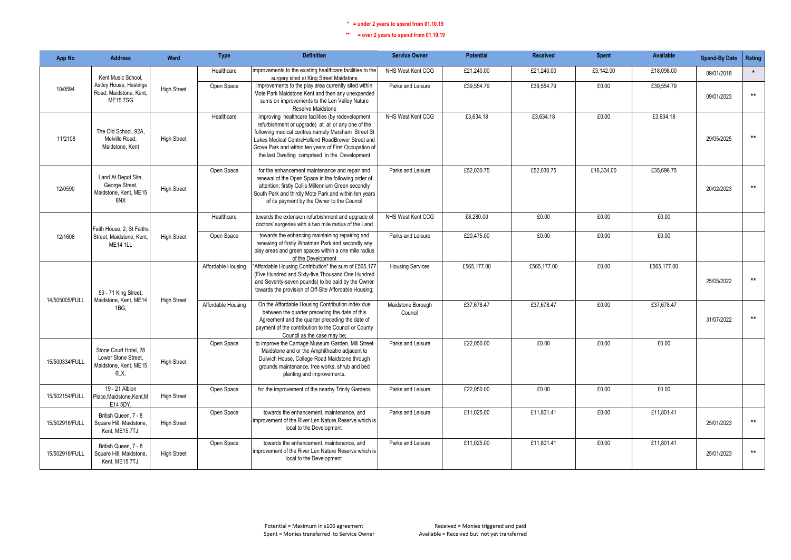| App No         | <b>Address</b>                                                                | Ward               | <b>Type</b>        | <b>Definition</b>                                                                                                                                                                                                                                                                                                              | <b>Service Owner</b>         | <b>Potential</b> | <b>Received</b> | <b>Spent</b> | Available   | <b>Spend-By Date</b> | Rating          |
|----------------|-------------------------------------------------------------------------------|--------------------|--------------------|--------------------------------------------------------------------------------------------------------------------------------------------------------------------------------------------------------------------------------------------------------------------------------------------------------------------------------|------------------------------|------------------|-----------------|--------------|-------------|----------------------|-----------------|
|                | Kent Music School.                                                            |                    | Healthcare         | improvements to the existing healthcare facilities to the<br>surgery sited at King Street Maidstone                                                                                                                                                                                                                            | NHS West Kent CCG            | £21.240.00       | £21.240.00      | £3,142.00    | £18,098,00  | 09/01/2018           | $\star$         |
| 10/0594        | Astley House, Hastings<br>Road, Maidstone, Kent.<br><b>ME157SG</b>            | <b>High Street</b> | Open Space         | improvements to the play area currently sited within<br>Mote Park Maidstone Kent and then any unexpended<br>sums on improvements to the Len Valley Nature<br>Reserve Maidstone                                                                                                                                                 | Parks and Leisure            | £39,554.79       | £39,554.79      | £0.00        | £39,554.79  | 09/01/2023           | $***$           |
| 11/2108        | The Old School, 92A<br>Melville Road,<br>Maidstone, Kent                      | <b>High Street</b> | Healthcare         | improving healthcare facilities (by redevelopment<br>refurbishment or upgrade) at all or any one of the<br>following medical centres namely Marsham Street St<br>Lukes Medical CentreHolland RoadBrewer Street and<br>Grove Park and within ten years of First Occupation of<br>the last Dwelling comprised in the Development | NHS West Kent CCG            | £3.634.18        | £3.634.18       | £0.00        | £3.634.18   | 29/05/2025           | $***$           |
| 12/0590        | Land At Depot Site,<br>George Street,<br>Maidstone, Kent, ME15<br>6NX         | <b>High Street</b> | Open Space         | for the enhancement maintenance and repair and<br>renewal of the Open Space in the following order of<br>attention: firstly Collis Millennium Green secondly<br>South Park and thirdly Mote Park and within ten years<br>of its payment by the Owner to the Council                                                            | Parks and Leisure            | £52,030.75       | £52,030.75      | £16,334.00   | £35,696.75  | 20/02/2023           | $***$           |
|                | Faith House, 2, St Faiths                                                     |                    | Healthcare         | towards the extension refurbishment and upgrade of<br>doctors' surgeries with a two mile radius of the Land                                                                                                                                                                                                                    | NHS West Kent CCG            | £8,280.00        | £0.00           | £0.00        | £0.00       |                      |                 |
| 12/1608        | Street, Maidstone, Kent.<br><b>ME14 1LL</b>                                   | <b>High Street</b> | Open Space         | towards the enhancing maintaining repairing and<br>renewing of firstly Whatman Park and secondly any<br>play areas and green spaces within a one mile radius<br>of the Development                                                                                                                                             | Parks and Leisure            | £20.475.00       | £0.00           | £0.00        | £0.00       |                      |                 |
| 14/505005/FULL | 59 - 71 King Street,<br>Maidstone, Kent, ME14                                 |                    | Affordable Housing | 'Affordable Housing Contribution" the sum of £565,177<br>(Five Hundred and Sixty-five Thousand One Hundred<br>and Seventy-seven pounds) to be paid by the Owner<br>towards the provision of Off-Site Affordable Housing;                                                                                                       | <b>Housing Services</b>      | £565.177.00      | £565.177.00     | £0.00        | £565.177.00 | 25/05/2022           | $^{\star\star}$ |
|                | 1BG,                                                                          | <b>High Street</b> | Affordable Housing | On the Affordable Housing Contribution index due<br>between the quarter preceding the date of this<br>Agreement and the quarter preceding the date of<br>payment of the contribution to the Council or County<br>Council as the case may be:                                                                                   | Maidstone Borough<br>Council | £37.678.47       | £37.678.47      | £0.00        | £37,678.47  | 31/07/2022           | $***$           |
| 15/500334/FULL | Stone Court Hotel, 28<br>Lower Stone Street.<br>Maidstone, Kent, ME15<br>6LX, | <b>High Street</b> | Open Space         | to improve the Carriage Museum Garden, Mill Street<br>Maidstone and or the Amphitheatre adjacent to<br>Dulwich House, College Road Maidstone through<br>grounds maintenance, tree works, shrub and bed<br>planting and improvements.                                                                                           | Parks and Leisure            | £22.050.00       | £0.00           | £0.00        | £0.00       |                      |                 |
| 15/502154/FULL | 19 - 21 Albion<br>Place, Maidstone, Kent, M<br>E14 5DY,                       | <b>High Street</b> | Open Space         | for the improvement of the nearby Trinity Gardens                                                                                                                                                                                                                                                                              | Parks and Leisure            | £22.050.00       | £0.00           | £0.00        | £0.00       |                      |                 |
| 15/502916/FULL | British Queen, 7 - 8<br>Square Hill, Maidstone.<br>Kent. ME15 7TJ.            | <b>High Street</b> | Open Space         | towards the enhancement, maintenance, and<br>improvement of the River Len Nature Reserve which is<br>local to the Development                                                                                                                                                                                                  | Parks and Leisure            | £11,025.00       | £11,801.41      | £0.00        | £11,801.41  | 25/01/2023           | $**$            |
| 15/502916/FULL | British Queen, 7 - 8<br>Square Hill, Maidstone.<br>Kent, ME15 7TJ,            | <b>High Street</b> | Open Space         | towards the enhancement, maintenance, and<br>improvement of the River Len Nature Reserve which is<br>local to the Development                                                                                                                                                                                                  | Parks and Leisure            | £11.025.00       | £11.801.41      | £0.00        | £11.801.41  | 25/01/2023           | $***$           |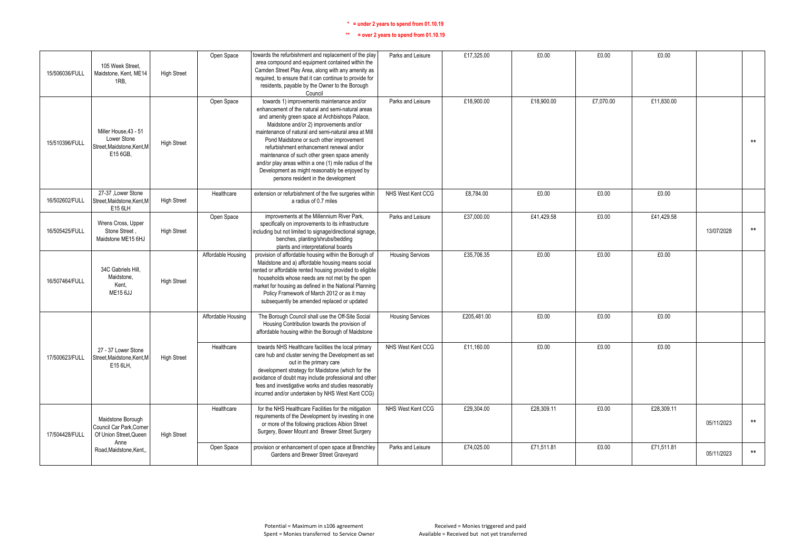| 15/506036/FULL | 105 Week Street.<br>Maidstone, Kent, ME14<br>1RB.                             | <b>High Street</b> | Open Space         | towards the refurbishment and replacement of the play<br>area compound and equipment contained within the<br>Camden Street Play Area, along with any amenity as<br>required, to ensure that it can continue to provide for<br>residents, payable by the Owner to the Borough<br>Council                                                                                                                                                                                                                                                        | Parks and Leisure       | £17,325.00  | £0.00      | £0.00     | £0.00      |            |       |
|----------------|-------------------------------------------------------------------------------|--------------------|--------------------|------------------------------------------------------------------------------------------------------------------------------------------------------------------------------------------------------------------------------------------------------------------------------------------------------------------------------------------------------------------------------------------------------------------------------------------------------------------------------------------------------------------------------------------------|-------------------------|-------------|------------|-----------|------------|------------|-------|
| 15/510396/FULL | Miller House 43 - 51<br>Lower Stone<br>Street, Maidstone, Kent, M<br>E15 6GB. | <b>High Street</b> | Open Space         | towards 1) improvements maintenance and/or<br>enhancement of the natural and semi-natural areas<br>and amenity green space at Archbishops Palace,<br>Maidstone and/or 2) improvements and/or<br>maintenance of natural and semi-natural area at Mill<br>Pond Maidstone or such other improvement<br>refurbishment enhancement renewal and/or<br>maintenance of such other green space amenity<br>and/or play areas within a one (1) mile radius of the<br>Development as might reasonably be enjoyed by<br>persons resident in the development | Parks and Leisure       | £18,900.00  | £18,900.00 | £7.070.00 | £11.830.00 |            | $***$ |
| 16/502602/FULL | 27-37 ,Lower Stone<br>Street, Maidstone, Kent, M<br>E15 6LH                   | <b>High Street</b> | Healthcare         | extension or refurbishment of the five surgeries within<br>a radius of 0.7 miles                                                                                                                                                                                                                                                                                                                                                                                                                                                               | NHS West Kent CCG       | £8,784.00   | £0.00      | £0.00     | £0.00      |            |       |
| 16/505425/FULL | Wrens Cross, Upper<br>Stone Street.<br>Maidstone ME15 6HJ                     | <b>High Street</b> | Open Space         | improvements at the Millennium River Park,<br>specifically on improvements to its infrastructure<br>including but not limited to signage/directional signage,<br>benches, planting/shrubs/bedding<br>plants and interpretational boards                                                                                                                                                                                                                                                                                                        | Parks and Leisure       | £37,000.00  | £41,429.58 | £0.00     | £41,429.58 | 13/07/2028 | $***$ |
| 16/507464/FULL | 34C Gabriels Hill.<br>Maidstone.<br>Kent.<br><b>ME15 6JJ</b>                  | <b>High Street</b> | Affordable Housing | provision of affordable housing within the Borough of<br>Maidstone and a) affordable housing means social<br>rented or affordable rented housing provided to eligible<br>households whose needs are not met by the open<br>market for housing as defined in the National Planning<br>Policy Framework of March 2012 or as it may<br>subsequently be amended replaced or updated                                                                                                                                                                | <b>Housing Services</b> | £35,706.35  | £0.00      | £0.00     | £0.00      |            |       |
|                |                                                                               |                    | Affordable Housing | The Borough Council shall use the Off-Site Social<br>Housing Contribution towards the provision of<br>affordable housing within the Borough of Maidstone                                                                                                                                                                                                                                                                                                                                                                                       | <b>Housing Services</b> | £205,481.00 | £0.00      | £0.00     | £0.00      |            |       |
| 17/500623/FULL | 27 - 37 Lower Stone<br>Street, Maidstone, Kent, M<br>E15 6LH.                 | <b>High Street</b> | Healthcare         | towards NHS Healthcare facilities the local primary<br>care hub and cluster serving the Development as set<br>out in the primary care<br>development strategy for Maidstone (which for the<br>avoidance of doubt may include professional and other<br>fees and investigative works and studies reasonably<br>incurred and/or undertaken by NHS West Kent CCG)                                                                                                                                                                                 | NHS West Kent CCG       | £11,160.00  | £0.00      | £0.00     | £0.00      |            |       |
| 17/504428/FULL | Maidstone Borough<br>Council Car Park, Corner<br>Of Union Street, Queen       | <b>High Street</b> | Healthcare         | for the NHS Healthcare Facilities for the mitigation<br>requirements of the Development by investing in one<br>or more of the following practices Albion Street<br>Surgery, Bower Mount and Brewer Street Surgery                                                                                                                                                                                                                                                                                                                              | NHS West Kent CCG       | £29,304.00  | £28,309.11 | £0.00     | £28,309.11 | 05/11/2023 | $***$ |
|                | Anne<br>Road, Maidstone, Kent                                                 |                    | Open Space         | provision or enhancement of open space at Brenchley<br>Gardens and Brewer Street Graveyard                                                                                                                                                                                                                                                                                                                                                                                                                                                     | Parks and Leisure       | £74,025.00  | £71,511.81 | £0.00     | £71,511.81 | 05/11/2023 | $***$ |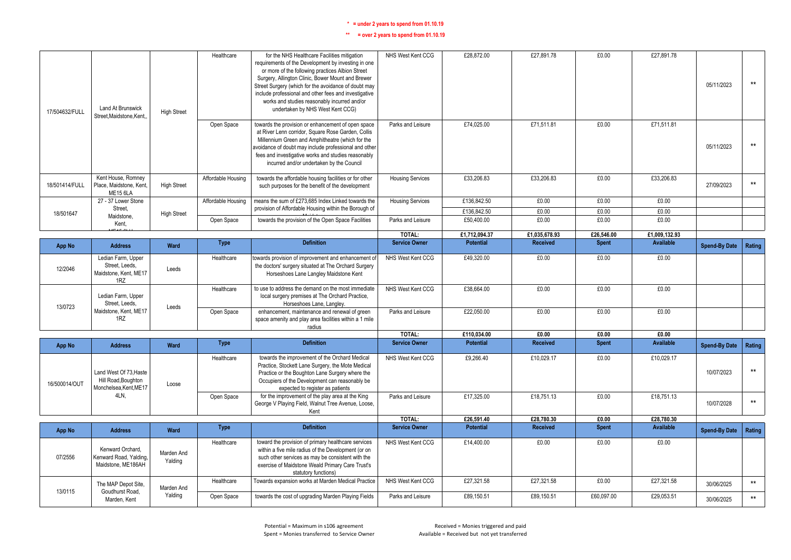| 17/504632/FULL | Land At Brunswick<br>Street, Maidstone, Kent,                           | <b>High Street</b>    | Healthcare         | for the NHS Healthcare Facilities mitigation<br>requirements of the Development by investing in one<br>or more of the following practices Albion Street<br>Surgery, Allington Clinic, Bower Mount and Brewer<br>Street Surgery (which for the avoidance of doubt may<br>include professional and other fees and investigative<br>works and studies reasonably incurred and/or<br>undertaken by NHS West Kent CCG) | NHS West Kent CCG       | £28,872.00       | £27,891.78      | £0.00        | £27,891.78       | 05/11/2023           | $***$           |
|----------------|-------------------------------------------------------------------------|-----------------------|--------------------|-------------------------------------------------------------------------------------------------------------------------------------------------------------------------------------------------------------------------------------------------------------------------------------------------------------------------------------------------------------------------------------------------------------------|-------------------------|------------------|-----------------|--------------|------------------|----------------------|-----------------|
|                |                                                                         |                       | Open Space         | towards the provision or enhancement of open space<br>at River Lenn corridor, Square Rose Garden, Collis<br>Millennium Green and Amphitheatre (which for the<br>avoidance of doubt may include professional and other<br>fees and investigative works and studies reasonably<br>incurred and/or undertaken by the Council                                                                                         | Parks and Leisure       | £74.025.00       | £71.511.81      | £0.00        | £71.511.81       | 05/11/2023           | $\star\star$    |
| 18/501414/FULL | Kent House, Romney<br>Place, Maidstone, Kent.<br><b>ME15 6LA</b>        | <b>High Street</b>    | Affordable Housing | towards the affordable housing facilities or for other<br>such purposes for the benefit of the development                                                                                                                                                                                                                                                                                                        | <b>Housing Services</b> | £33,206.83       | £33.206.83      | £0.00        | £33.206.83       | 27/09/2023           | $\star\star$    |
|                | 27 - 37 Lower Stone                                                     |                       | Affordable Housing | means the sum of £273,685 Index Linked towards the                                                                                                                                                                                                                                                                                                                                                                | <b>Housing Services</b> | £136,842.50      | £0.00           | £0.00        | £0.00            |                      |                 |
| 18/501647      | Street.<br>Maidstone.                                                   | <b>High Street</b>    |                    | provision of Affordable Housing within the Borough of                                                                                                                                                                                                                                                                                                                                                             |                         | £136,842.50      | £0.00           | £0.00        | £0.00            |                      |                 |
|                | Kent.                                                                   |                       | Open Space         | towards the provision of the Open Space Facilities                                                                                                                                                                                                                                                                                                                                                                | Parks and Leisure       | £50,400.00       | £0.00           | £0.00        | £0.00            |                      |                 |
|                |                                                                         |                       |                    |                                                                                                                                                                                                                                                                                                                                                                                                                   | TOTAL:                  | £1,712,094.37    | £1,035,678.93   | £26,546.00   | £1,009,132.93    |                      |                 |
| <b>App No</b>  | <b>Address</b>                                                          | Ward                  | <b>Type</b>        | <b>Definition</b>                                                                                                                                                                                                                                                                                                                                                                                                 | <b>Service Owner</b>    | <b>Potential</b> | <b>Received</b> | <b>Spent</b> | <b>Available</b> | <b>Spend-By Date</b> | Rating          |
| 12/2046        | Ledian Farm, Upper<br>Street, Leeds,<br>Maidstone, Kent, ME17<br>1RZ    | Leeds                 | Healthcare         | towards provision of improvement and enhancement of<br>the doctors' surgery situated at The Orchard Surgery<br>Horseshoes Lane Langley Maidstone Kent                                                                                                                                                                                                                                                             | NHS West Kent CCG       | £49,320.00       | £0.00           | £0.00        | £0.00            |                      |                 |
| 13/0723        | Ledian Farm, Upper<br>Street, Leeds,                                    | Leeds                 | Healthcare         | to use to address the demand on the most immediate<br>local surgery premises at The Orchard Practice,<br>Horseshoes Lane, Langley.                                                                                                                                                                                                                                                                                | NHS West Kent CCG       | £38,664.00       | £0.00           | £0.00        | £0.00            |                      |                 |
|                | Maidstone, Kent, ME17<br>1RZ                                            |                       | Open Space         | enhancement, maintenance and renewal of green<br>space amenity and play area facilities within a 1 mile<br>radius                                                                                                                                                                                                                                                                                                 | Parks and Leisure       | £22.050.00       | £0.00           | £0.00        | £0.00            |                      |                 |
|                |                                                                         |                       |                    |                                                                                                                                                                                                                                                                                                                                                                                                                   | TOTAL:                  | £110.034.00      | £0.00           | £0.00        | £0.00            |                      |                 |
| <b>App No</b>  | <b>Address</b>                                                          | Ward                  | <b>Type</b>        | <b>Definition</b>                                                                                                                                                                                                                                                                                                                                                                                                 | <b>Service Owner</b>    | <b>Potential</b> | <b>Received</b> | Spent        | <b>Available</b> | <b>Spend-By Date</b> | Rating          |
| 16/500014/OUT  | Land West Of 73, Haste<br>Hill Road, Boughton<br>Monchelsea, Kent, ME17 | Loose                 | Healthcare         | towards the improvement of the Orchard Medical<br>Practice, Stockett Lane Surgery, the Mote Medical<br>Practice or the Boughton Lane Surgery where the<br>Occupiers of the Development can reasonably be<br>expected to register as patients                                                                                                                                                                      | NHS West Kent CCG       | £9,266.40        | £10.029.17      | £0.00        | £10,029.17       | 10/07/2023           | $\star\star$    |
|                | 4LN.                                                                    |                       | Open Space         | for the improvement of the play area at the King<br>George V Playing Field, Walnut Tree Avenue, Loose,<br>Kent                                                                                                                                                                                                                                                                                                    | Parks and Leisure       | £17,325.00       | £18,751.13      | £0.00        | £18,751.13       | 10/07/2028           | $***$           |
|                |                                                                         |                       |                    |                                                                                                                                                                                                                                                                                                                                                                                                                   | TOTAL:                  | £26,591.40       | £28,780.30      | £0.00        | £28,780.30       |                      |                 |
| App No         | <b>Address</b>                                                          | Ward                  | <b>Type</b>        | <b>Definition</b>                                                                                                                                                                                                                                                                                                                                                                                                 | <b>Service Owner</b>    | Potential        | <b>Received</b> | Spent        | Available        | <b>Spend-By Date</b> | Rating          |
| 07/2556        | Kenward Orchard.<br>Kenward Road, Yalding,<br>Maidstone, ME186AH        | Marden And<br>Yalding | Healthcare         | toward the provision of primary healthcare services<br>within a five mile radius of the Development (or on<br>such other services as may be consistent with the<br>exercise of Maidstone Weald Primary Care Trust's<br>statutory functions)                                                                                                                                                                       | NHS West Kent CCG       | £14,400.00       | £0.00           | £0.00        | £0.00            |                      |                 |
|                | The MAP Depot Site,                                                     | Marden And            | Healthcare         | Towards expansion works at Marden Medical Practice                                                                                                                                                                                                                                                                                                                                                                | NHS West Kent CCG       | £27,321.58       | £27,321.58      | £0.00        | £27,321.58       | 30/06/2025           | $^{\star\star}$ |
| 13/0115        | Goudhurst Road,<br>Marden, Kent                                         | Yalding               | Open Space         | towards the cost of upgrading Marden Playing Fields                                                                                                                                                                                                                                                                                                                                                               | Parks and Leisure       | £89,150.51       | £89,150.51      | £60,097.00   | £29,053.51       | 30/06/2025           | $\star\star$    |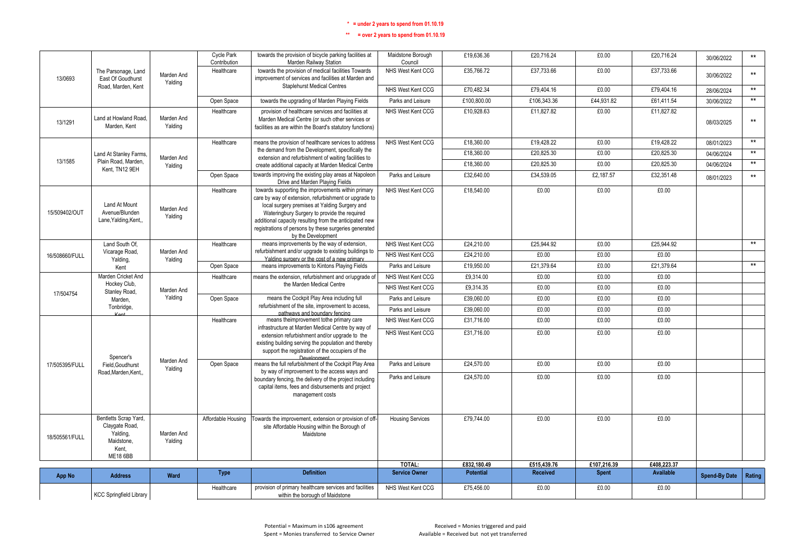|                | <b>KCC Springfield Library</b>                           |                       | Healthcare                        | provision of primary healthcare services and facilities<br>within the borough of Maidstone                                                                                                                                                                                                      | NHS West Kent CCG                      | £75,456.00               | £0.00                    | £0.00          | £0.00                    |                          |                       |
|----------------|----------------------------------------------------------|-----------------------|-----------------------------------|-------------------------------------------------------------------------------------------------------------------------------------------------------------------------------------------------------------------------------------------------------------------------------------------------|----------------------------------------|--------------------------|--------------------------|----------------|--------------------------|--------------------------|-----------------------|
| <b>App No</b>  | <b>Address</b>                                           | Ward                  | <b>Type</b>                       | <b>Definition</b>                                                                                                                                                                                                                                                                               | <b>Service Owner</b>                   | <b>Potential</b>         | <b>Received</b>          | <b>Spent</b>   | <b>Available</b>         | <b>Spend-By Date</b>     | Rating                |
|                |                                                          |                       |                                   |                                                                                                                                                                                                                                                                                                 | TOTAL:                                 | £832,180.49              | £515.439.76              | £107,216.39    | £408.223.37              |                          |                       |
| 18/505561/FULL | Yalding,<br>Maidstone.<br>Kent.<br><b>ME18 6BB</b>       | Marden And<br>Yalding |                                   | Maidstone                                                                                                                                                                                                                                                                                       |                                        |                          |                          |                |                          |                          |                       |
|                | Bentletts Scrap Yard,<br>Claygate Road,                  |                       | Affordable Housing                | Towards the improvement, extension or provision of off-<br>site Affordable Housing within the Borough of                                                                                                                                                                                        | <b>Housing Services</b>                | £79.744.00               | £0.00                    | £0.00          | £0.00                    |                          |                       |
|                | Road, Marden, Kent,                                      |                       |                                   | boundary fencing, the delivery of the project including<br>capital items, fees and disbursements and project<br>management costs                                                                                                                                                                | Parks and Leisure                      | £24,570.00               | £0.00                    | £0.00          | £0.00                    |                          |                       |
| 17/505395/FULL | Field, Goudhurst                                         | Marden And<br>Yalding | Open Space                        | means the full refurbishment of the Cockpit Play Area<br>by way of improvement to the access ways and                                                                                                                                                                                           | Parks and Leisure                      | £24,570.00               | £0.00                    | £0.00          | £0.00                    |                          |                       |
|                | Spencer's                                                |                       |                                   | infrastructure at Marden Medical Centre by way of<br>extension refurbishment and/or upgrade to the<br>existing building serving the population and thereby<br>support the registration of the occupiers of the                                                                                  | NHS West Kent CCG                      | £31,716.00               | £0.00                    | £0.00          | £0.00                    |                          |                       |
|                | $V_{\alpha\alpha}$                                       |                       | Healthcare                        | pathways and boundary fencing<br>means theimprovement tothe primary care                                                                                                                                                                                                                        | NHS West Kent CCG                      | £31,716.00               | £0.00                    | £0.00          | £0.00                    |                          |                       |
|                | Tonbridge,                                               |                       |                                   | refurbishment of the site, improvement to access,                                                                                                                                                                                                                                               | Parks and Leisure                      | £39,060.00               | £0.00                    | £0.00          | £0.00                    |                          |                       |
| 17/504754      | Stanley Road,<br>Marden,                                 | Marden And<br>Yalding | Open Space                        | means the Cockpit Play Area including full                                                                                                                                                                                                                                                      | Parks and Leisure                      | £39,060.00               | £0.00                    | £0.00          | £0.00                    |                          |                       |
|                | Hockey Club                                              |                       |                                   | the Marden Medical Centre                                                                                                                                                                                                                                                                       | NHS West Kent CCG                      | £9.314.35                | £0.00                    | £0.00          | £0.00                    |                          |                       |
|                | Kent<br>Marden Cricket And                               |                       | Open Space<br>Healthcare          | means improvements to Kintons Playing Fields<br>means the extension, refurbishment and or/upgrade of                                                                                                                                                                                            | Parks and Leisure<br>NHS West Kent CCG | £19,950.00<br>£9,314.00  | £21.379.64<br>£0.00      | £0.00<br>£0.00 | £21.379.64<br>£0.00      |                          |                       |
| 16/508660/FULL | Yalding.                                                 | Yalding               |                                   | Yalding surgery or the cost of a new primary                                                                                                                                                                                                                                                    | NHS West Kent CCG                      | £24,210.00               | £0.00                    | £0.00          | £0.00                    |                          | $**$                  |
|                | Land South Of,<br>Vicarage Road,                         | Marden And            | Healthcare                        | means improvements by the way of extension,<br>refurbishment and/or upgrade to existing buildings to                                                                                                                                                                                            | NHS West Kent CCG                      | £24,210.00               | £25,944.92               | £0.00          | £25,944.92               |                          | $***$                 |
| 15/509402/OUT  | Land At Mount<br>Avenue/Blunden<br>Lane, Yalding, Kent,, | Marden And<br>Yalding |                                   | care by way of extension, refurbishment or upgrade to<br>local surgery premises at Yalding Surgery and<br>Wateringbury Surgery to provide the required<br>additional capacity resulting from the anticipated new<br>registrations of persons by these surgeries generated<br>by the Development |                                        |                          |                          |                |                          |                          |                       |
|                |                                                          |                       | Healthcare                        | Drive and Marden Plaving Fields<br>towards supporting the improvements within primary                                                                                                                                                                                                           | NHS West Kent CCG                      | £18,540.00               | £0.00                    | £0.00          | £0.00                    | 08/01/2023               |                       |
|                | Kent. TN12 9EH                                           | Yalding               | Open Space                        | create additional capacity at Marden Medical Centre<br>towards improving the existing play areas at Napoleon                                                                                                                                                                                    | Parks and Leisure                      | £32,640.00               | £34,539.05               | £2,187.57      | £32,351.48               |                          | $**$                  |
| 13/1585        | Land At Stanley Farms,<br>Plain Road, Marden,            | Marden And            |                                   | extension and refurbishment of waiting facilities to                                                                                                                                                                                                                                            |                                        | £18,360.00<br>£18,360.00 | £20.825.30<br>£20.825.30 | £0.00<br>£0.00 | £20.825.30<br>£20.825.30 | 04/06/2024<br>04/06/2024 | $\star\star$          |
|                |                                                          |                       | Healthcare                        | means the provision of healthcare services to address<br>the demand from the Development, specifically the                                                                                                                                                                                      | NHS West Kent CCG                      | £18,360.00               | £19,428.22               | £0.00          | £19,428.22               | 08/01/2023               | $***$<br>$\star\star$ |
| 13/1291        | Land at Howland Road.<br>Marden, Kent                    | Marden And<br>Yalding |                                   | provision of healthcare services and facilities at<br>Marden Medical Centre (or such other services or<br>facilities as are within the Board's statutory functions)                                                                                                                             |                                        | £10,928.63               | £11,827.82               | £0.00          | £11,827.82               | 08/03/2025               | $\star\star$          |
|                |                                                          |                       | Open Space<br>Healthcare          | towards the upgrading of Marden Playing Fields                                                                                                                                                                                                                                                  | Parks and Leisure<br>NHS West Kent CCG | £100,800.00              | £106,343.36              | £44,931.82     | £61,411.54               | 30/06/2022               | $**$                  |
|                | Road, Marden, Kent                                       |                       |                                   | <b>Staplehurst Medical Centres</b>                                                                                                                                                                                                                                                              | NHS West Kent CCG                      | £70,482.34               | £79,404.16               | £0.00          | £79,404.16               | 28/06/2024               | $***$                 |
| 13/0693        | The Parsonage, Land<br>East Of Goudhurst                 | Marden And<br>Yalding | Healthcare                        | towards the provision of medical facilities Towards<br>improvement of services and facilities at Marden and                                                                                                                                                                                     | NHS West Kent CCG                      | £35,766.72               | £37,733.66               | £0.00          | £37,733.66               | 30/06/2022               | $\star\star$          |
|                |                                                          |                       | <b>Cycle Park</b><br>Contribution | towards the provision of bicycle parking facilities at<br>Marden Railway Station                                                                                                                                                                                                                | Maidstone Borough<br>Council           | £19,636.36               | £20,716.24               | £0.00          | £20,716.24               | 30/06/2022               | $^{\star\star}$       |
|                |                                                          |                       |                                   |                                                                                                                                                                                                                                                                                                 |                                        |                          |                          |                |                          |                          |                       |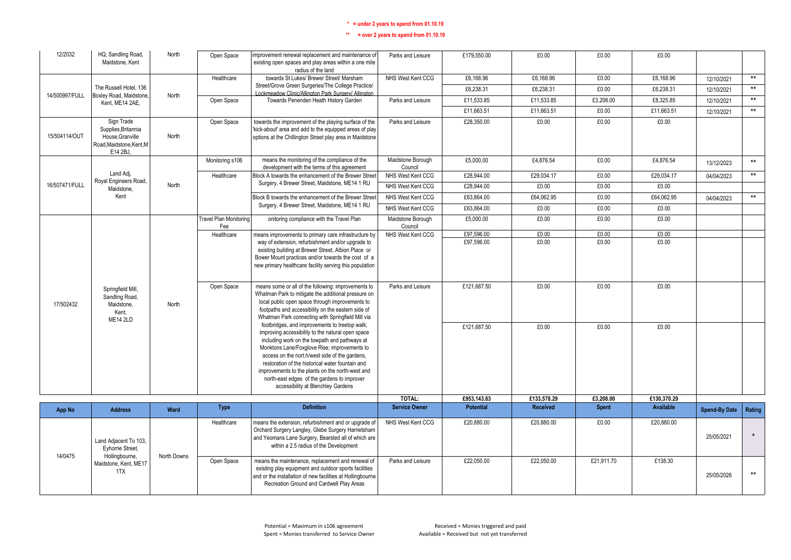| 12/2032        | HQ, Sandling Road,<br>Maidstone, Kent                                                        | North       | Open Space                           | improvement renewal replacement and maintenance of<br>existing open spaces and play areas within a one mile<br>radius of the land                                                                                                                                                                                                                                                                                                                   | Parks and Leisure            | £179,550.00      | £0.00           | £0.00        | £0.00       |                      |              |
|----------------|----------------------------------------------------------------------------------------------|-------------|--------------------------------------|-----------------------------------------------------------------------------------------------------------------------------------------------------------------------------------------------------------------------------------------------------------------------------------------------------------------------------------------------------------------------------------------------------------------------------------------------------|------------------------------|------------------|-----------------|--------------|-------------|----------------------|--------------|
|                |                                                                                              |             | Healthcare                           | towards St Lukes/ Brewer Street/ Marsham                                                                                                                                                                                                                                                                                                                                                                                                            | NHS West Kent CCG            | £6,168.96        | £6,168.96       | £0.00        | £6,168.96   | 12/10/2021           | $\star\star$ |
|                | The Russell Hotel, 136                                                                       |             |                                      | Street/Grove Green Surgeries/The College Practice/                                                                                                                                                                                                                                                                                                                                                                                                  |                              | £6,238.31        | £6,238.31       | £0.00        | £6,238.31   | 12/10/2021           | $\star\star$ |
| 14/500997/FULL | Boxley Road, Maidstone,                                                                      | North       | Open Space                           | Lockmeadow Clinic/Allington Park Surgery/ Allington<br>Towards Penenden Heath History Garden                                                                                                                                                                                                                                                                                                                                                        | Parks and Leisure            | £11,533.85       | £11,533.85      | £3,208.00    | £8,325.85   | 12/10/2021           | $\star\star$ |
|                | Kent. ME14 2AE.                                                                              |             |                                      |                                                                                                                                                                                                                                                                                                                                                                                                                                                     |                              | £11,663.51       | £11,663.51      | £0.00        | £11,663.51  | 12/10/2021           | $**$         |
| 15/504114/OUT  | Sign Trade<br>Supplies.Britannia<br>House, Granville<br>Road, Maidstone, Kent, M<br>E14 2BJ, | North       | Open Space                           | towards the improvement of the playing surface of the<br>'kick-about' area and add to the equipped areas of play<br>options at the Chillington Street play area in Maidstone                                                                                                                                                                                                                                                                        | Parks and Leisure            | £28,350.00       | £0.00           | £0.00        | £0.00       |                      |              |
|                |                                                                                              |             | Monitoring s106                      | means the monitoring of the compliance of the<br>development with the terms of this agreement                                                                                                                                                                                                                                                                                                                                                       | Maidstone Borough<br>Council | £5,000.00        | £4.876.54       | £0.00        | £4,876.54   | 13/12/2023           | $**$         |
|                | Land Adi.<br>Royal Engineers Road,                                                           |             | Healthcare                           | Block A towards the enhancement of the Brewer Street                                                                                                                                                                                                                                                                                                                                                                                                | NHS West Kent CCG            | £28,944.00       | £29,034.17      | £0.00        | £29,034.17  | 04/04/2023           | $\star\star$ |
| 16/507471/FULL | Maidstone.                                                                                   | North       |                                      | Surgery, 4 Brewer Street, Maidstone, ME14 1 RU                                                                                                                                                                                                                                                                                                                                                                                                      | NHS West Kent CCG            | £28.944.00       | £0.00           | £0.00        | £0.00       |                      |              |
|                | Kent                                                                                         |             |                                      | Block B towards the enhancement of the Brewer Street                                                                                                                                                                                                                                                                                                                                                                                                | NHS West Kent CCG            | £63,864.00       | £64,062.95      | £0.00        | £64,062.95  | 04/04/2023           | $***$        |
|                |                                                                                              |             |                                      | Surgery, 4 Brewer Street, Maidstone, ME14 1 RU                                                                                                                                                                                                                                                                                                                                                                                                      | NHS West Kent CCG            | £63,864.00       | £0.00           | £0.00        | £0.00       |                      |              |
|                |                                                                                              |             | <b>Travel Plan Monitoring</b><br>Fee | onitoring compliance with the Travel Plan                                                                                                                                                                                                                                                                                                                                                                                                           | Maidstone Borough<br>Council | £5,000.00        | £0.00           | £0.00        | £0.00       |                      |              |
|                |                                                                                              |             | Healthcare                           | means improvements to primary care infrastructure by                                                                                                                                                                                                                                                                                                                                                                                                | NHS West Kent CCG            | £97,596.00       | £0.00           | £0.00        | £0.00       |                      |              |
|                |                                                                                              |             |                                      | way of extension, refurbishment and/or upgrade to<br>existing building at Brewer Street, Albion Place or<br>Bower Mount practices and/or towards the cost of a<br>new primary healthcare facility serving this population                                                                                                                                                                                                                           |                              | £97,596.00       | £0.00           | £0.00        | £0.00       |                      |              |
| 17/502432      | Springfield Mill,<br>Sandling Road,<br>Maidstone.<br>Kent.<br><b>ME14 2LD</b>                | North       | Open Space                           | means some or all of the following: improvements to<br>Whatman Park to mitigate the additional pressure on<br>local public open space through improvements to<br>footpaths and accessibility on the eastern side of<br>Whatman Park connecting with Springfield Mill via                                                                                                                                                                            | Parks and Leisure            | £121.687.50      | £0.00           | £0.00        | £0.00       |                      |              |
|                |                                                                                              |             |                                      | footbridges, and improvements to treetop walk;<br>improving accessibility to the natural open space<br>including work on the towpath and pathways at<br>Monktons Lane/Foxglove Rise; improvements to<br>access on the nort.h/west side of the gardens,<br>restoration of the historical water fountain and<br>improvements to the plants on the north-west and<br>north-east edges of the gardens to improver<br>accessibility at Blenchley Gardens |                              | £121.687.50      | £0.00           | £0.00        | £0.00       |                      |              |
|                |                                                                                              |             |                                      |                                                                                                                                                                                                                                                                                                                                                                                                                                                     | TOTAL:                       | £953,143.63      | £133,578.29     | £3,208.00    | £130,370.29 |                      |              |
| <b>App No</b>  | <b>Address</b>                                                                               | Ward        | <b>Type</b>                          | <b>Definition</b>                                                                                                                                                                                                                                                                                                                                                                                                                                   | <b>Service Owner</b>         | <b>Potential</b> | <b>Received</b> | <b>Spent</b> | Available   | <b>Spend-By Date</b> | Rating       |
|                | Land Adjacent To 103,<br>Eyhorne Street,                                                     |             | Healthcare                           | means the extension, refurbishment and or upgrade of<br>Orchard Surgery Langley, Glebe Surgery Harrietsham<br>and Yeomans Lane Surgery, Bearsted all of which are<br>within a 2.5 radius of the Development                                                                                                                                                                                                                                         | NHS West Kent CCG            | £20,880.00       | £20,880.00      | £0.00        | £20,880.00  | 25/05/2021           | $\star$      |
| 14/0475        | Hollingbourne,<br>Maidstone, Kent, ME17<br>1TX                                               | North Downs | Open Space                           | means the maintenance, replacement and renewal of<br>existing play equipment and outdoor sports facilities<br>and or the installation of new facilities at Hollingbourne<br>Recreation Ground and Cardwell Play Areas                                                                                                                                                                                                                               | Parks and Leisure            | £22.050.00       | £22.050.00      | £21.911.70   | £138.30     | 25/05/2026           | $***$        |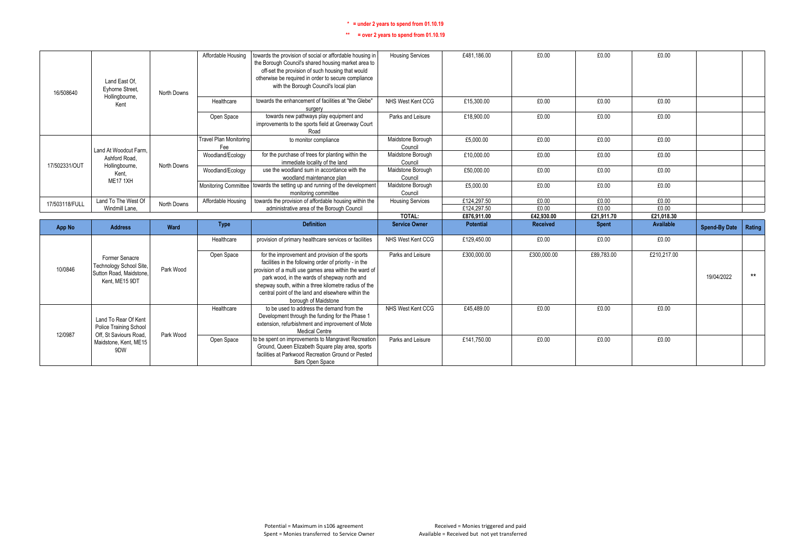| 16/508640      | Land East Of.<br>Evhorne Street.                                         | North Downs | Affordable Housing                   | towards the provision of social or affordable housing in<br>the Borough Council's shared housing market area to<br>off-set the provision of such housing that would<br>otherwise be required in order to secure compliance<br>with the Borough Council's local plan                                                                                        | <b>Housing Services</b>      | £481,186.00      | £0.00       | £0.00        | £0.00            |                      |               |
|----------------|--------------------------------------------------------------------------|-------------|--------------------------------------|------------------------------------------------------------------------------------------------------------------------------------------------------------------------------------------------------------------------------------------------------------------------------------------------------------------------------------------------------------|------------------------------|------------------|-------------|--------------|------------------|----------------------|---------------|
|                | Hollingbourne,<br>Kent                                                   |             | Healthcare                           | towards the enhancement of facilities at "the Glebe"<br>surgery                                                                                                                                                                                                                                                                                            | NHS West Kent CCG            | £15,300.00       | £0.00       | £0.00        | £0.00            |                      |               |
|                |                                                                          |             | Open Space                           | towards new pathways play equipment and<br>improvements to the sports field at Greenway Court<br>Road                                                                                                                                                                                                                                                      | Parks and Leisure            | £18,900.00       | £0.00       | £0.00        | £0.00            |                      |               |
|                | Land At Woodcut Farm.                                                    |             | <b>Travel Plan Monitoring</b><br>Fee | to monitor compliance                                                                                                                                                                                                                                                                                                                                      | Maidstone Borough<br>Council | £5,000.00        | £0.00       | £0.00        | £0.00            |                      |               |
| 17/502331/OUT  | Ashford Road.<br>Hollingbourne,                                          | North Downs | Woodland/Ecology                     | for the purchase of trees for planting within the<br>immediate locality of the land                                                                                                                                                                                                                                                                        | Maidstone Borough<br>Council | £10,000.00       | £0.00       | £0.00        | £0.00            |                      |               |
|                | Kent.<br><b>ME17 1XH</b>                                                 |             | Woodland/Ecology                     | use the woodland sum in accordance with the<br>woodland maintenance plan                                                                                                                                                                                                                                                                                   | Maidstone Borough<br>Council | £50,000.00       | £0.00       | £0.00        | £0.00            |                      |               |
|                |                                                                          |             | Monitoring Committee                 | towards the setting up and running of the development<br>monitoring committee                                                                                                                                                                                                                                                                              | Maidstone Borough<br>Council | £5,000.00        | £0.00       | £0.00        | £0.00            |                      |               |
| 17/503118/FULL | Land To The West Of                                                      | North Downs | Affordable Housing                   | towards the provision of affordable housing within the                                                                                                                                                                                                                                                                                                     | <b>Housing Services</b>      | £124.297.50      | £0.00       | £0.00        | £0.00            |                      |               |
|                | Windmill Lane.                                                           |             |                                      | administrative area of the Borough Council                                                                                                                                                                                                                                                                                                                 |                              | £124,297.50      | £0.00       | £0.00        | £0.00            |                      |               |
|                |                                                                          |             |                                      |                                                                                                                                                                                                                                                                                                                                                            | TOTAL:                       | £876,911.00      | £42.930.00  | £21,911.70   | £21,018.30       |                      |               |
| <b>App No</b>  | <b>Address</b>                                                           | Ward        | <b>Type</b>                          | <b>Definition</b>                                                                                                                                                                                                                                                                                                                                          | <b>Service Owner</b>         | <b>Potential</b> | Received    | <b>Spent</b> | <b>Available</b> | <b>Spend-By Date</b> | <b>Rating</b> |
|                |                                                                          |             | Healthcare                           | provision of primary healthcare services or facilities                                                                                                                                                                                                                                                                                                     | NHS West Kent CCG            | £129,450.00      | £0.00       | £0.00        | £0.00            |                      |               |
| 10/0846        | Former Senacre                                                           |             | Open Space                           |                                                                                                                                                                                                                                                                                                                                                            |                              |                  |             |              |                  |                      |               |
|                | Technology School Site,<br>Sutton Road, Maidstone.<br>Kent. ME15 9DT     | Park Wood   |                                      | for the improvement and provision of the sports<br>facilities in the following order of priority - in the<br>provision of a multi use games area within the ward of<br>park wood, in the wards of shepway north and<br>shepway south, within a three kilometre radius of the<br>central point of the land and elsewhere within the<br>borough of Maidstone | Parks and Leisure            | £300,000.00      | £300,000.00 | £89,783.00   | £210,217.00      | 19/04/2022           | $***$         |
| 12/0987        | Land To Rear Of Kent<br>Police Training School<br>Off. St Saviours Road. | Park Wood   | Healthcare                           | to be used to address the demand from the<br>Development through the funding for the Phase 1<br>extension, refurbishment and improvement of Mote<br>Medical Centre                                                                                                                                                                                         | NHS West Kent CCG            | £45,489.00       | £0.00       | £0.00        | £0.00            |                      |               |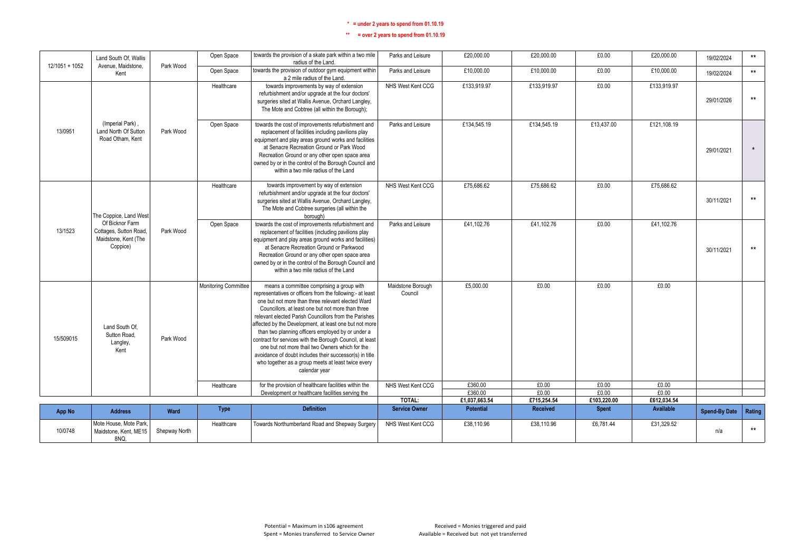| 12/1051 + 1052 | Land South Of. Wallis<br>Avenue, Maidstone.                                   | Park Wood     | Open Space           | towards the provision of a skate park within a two mile<br>radius of the Land.                                                                                                                                                                                                                                                                                                                                                                                                                                                                                                                                                            | Parks and Leisure            | £20,000.00               | £20,000.00           | £0.00                | £20,000.00       | 19/02/2024           | $\star\star$ |
|----------------|-------------------------------------------------------------------------------|---------------|----------------------|-------------------------------------------------------------------------------------------------------------------------------------------------------------------------------------------------------------------------------------------------------------------------------------------------------------------------------------------------------------------------------------------------------------------------------------------------------------------------------------------------------------------------------------------------------------------------------------------------------------------------------------------|------------------------------|--------------------------|----------------------|----------------------|------------------|----------------------|--------------|
|                | Kent                                                                          |               | Open Space           | towards the provision of outdoor gym equipment within<br>a 2 mile radius of the Land.                                                                                                                                                                                                                                                                                                                                                                                                                                                                                                                                                     | Parks and Leisure            | £10,000.00               | £10,000.00           | £0.00                | £10,000.00       | 19/02/2024           | $***$        |
|                |                                                                               |               | Healthcare           | towards improvements by way of extension<br>refurbishment and/or upgrade at the four doctors'<br>surgeries sited at Wallis Avenue, Orchard Langley,<br>The Mote and Cobtree (all within the Borough);                                                                                                                                                                                                                                                                                                                                                                                                                                     | NHS West Kent CCG            | £133.919.97              | £133.919.97          | £0.00                | £133,919.97      | 29/01/2026           | $***$        |
| 13/0951        | (Imperial Park).<br>Land North Of Sutton<br>Road Otham, Kent                  | Park Wood     | Open Space           | towards the cost of improvements refurbishment and<br>replacement of facilities including pavilions play<br>equipment and play areas ground works and facilities<br>at Senacre Recreation Ground or Park Wood<br>Recreation Ground or any other open space area<br>owned by or in the control of the Borough Council and<br>within a two mile radius of the Land                                                                                                                                                                                                                                                                          | Parks and Leisure            | £134,545.19              | £134,545.19          | £13.437.00           | £121,108.19      | 29/01/2021           | $\star$      |
|                | The Coppice, Land West                                                        |               | Healthcare           | towards improvement by way of extension<br>refurbishment and/or upgrade at the four doctors'<br>surgeries sited at Wallis Avenue, Orchard Langley,<br>The Mote and Cobtree surgeries (all within the<br>borough)                                                                                                                                                                                                                                                                                                                                                                                                                          | NHS West Kent CCG            | £75,686,62               | £75,686,62           | £0.00                | £75.686.62       | 30/11/2021           | $***$        |
| 13/1523        | Of Bicknor Farm<br>Cottages, Sutton Road,<br>Maidstone, Kent (The<br>Coppice) | Park Wood     | Open Space           | towards the cost of improvements refurbishment and<br>replacement of facilities (including pavilions play<br>equipment and play areas ground works and facilities)<br>at Senacre Recreation Ground or Parkwood<br>Recreation Ground or any other open space area<br>owned by or in the control of the Borough Council and<br>within a two mile radius of the Land                                                                                                                                                                                                                                                                         | Parks and Leisure            | £41,102.76               | £41,102.76           | £0.00                | £41,102.76       | 30/11/2021           | $***$        |
| 15/509015      | Land South Of.<br>Sutton Road,<br>Langley,<br>Kent                            | Park Wood     | Monitoring Committee | means a committee comprising a group with<br>representatives or officers from the following:- at least<br>one but not more than three relevant elected Ward<br>Councillors, at least one but not more than three<br>relevant elected Parish Councillors from the Parishes<br>affected by the Development, at least one but not more<br>than two planning officers employed by or under a<br>contract for services with the Borough Council, at least<br>one but not more thail two Owners which for the<br>avoidance of doubt includes their successor(s) in title<br>who together as a group meets at least twice every<br>calendar year | Maidstone Borough<br>Council | £5,000.00                | £0.00                | £0.00                | £0.00            |                      |              |
|                |                                                                               |               | Healthcare           | for the provision of healthcare facilities within the                                                                                                                                                                                                                                                                                                                                                                                                                                                                                                                                                                                     | NHS West Kent CCG            | £360.00                  | £0.00                | £0.00                | £0.00<br>E0.00   |                      |              |
|                |                                                                               |               |                      | Development or healthcare facilities serving the                                                                                                                                                                                                                                                                                                                                                                                                                                                                                                                                                                                          | TOTAL:                       | £360.00<br>£1,037,663.54 | £0.00<br>£715,254.54 | £0.00<br>£103,220.00 | £612,034.54      |                      |              |
| App No         | <b>Address</b>                                                                | Ward          | Type                 | <b>Definition</b>                                                                                                                                                                                                                                                                                                                                                                                                                                                                                                                                                                                                                         | <b>Service Owner</b>         | <b>Potential</b>         | <b>Received</b>      | <b>Spent</b>         | <b>Available</b> | <b>Spend-By Date</b> | Rating       |
| 10/0748        | Mote House. Mote Park.<br>Maidstone, Kent, ME15<br>8NQ.                       | Shepway North | Healthcare           | Towards Northumberland Road and Shepway Surgery                                                                                                                                                                                                                                                                                                                                                                                                                                                                                                                                                                                           | NHS West Kent CCG            | £38,110.96               | £38,110.96           | £6,781.44            | £31,329.52       | n/a                  | $***$        |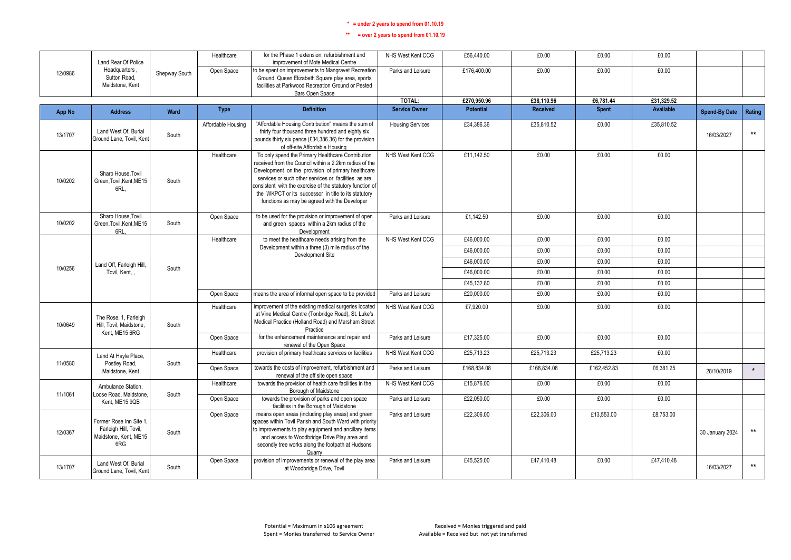|         | Land Rear Of Police                                                              |               | Healthcare         | for the Phase 1 extension, refurbishment and<br>improvement of Mote Medical Centre                                                                                                                                                                                                                                                                                                              | NHS West Kent CCG       | £56,440.00       | £0.00           | £0.00        | £0.00            |                      |              |
|---------|----------------------------------------------------------------------------------|---------------|--------------------|-------------------------------------------------------------------------------------------------------------------------------------------------------------------------------------------------------------------------------------------------------------------------------------------------------------------------------------------------------------------------------------------------|-------------------------|------------------|-----------------|--------------|------------------|----------------------|--------------|
| 12/0986 | Headquarters.<br>Sutton Road,<br>Maidstone, Kent                                 | Shepway South | Open Space         | to be spent on improvements to Mangravet Recreation<br>Ground, Queen Elizabeth Square play area, sports<br>facilities at Parkwood Recreation Ground or Pested<br>Bars Open Space                                                                                                                                                                                                                | Parks and Leisure       | £176,400.00      | £0.00           | £0.00        | £0.00            |                      |              |
|         |                                                                                  |               |                    |                                                                                                                                                                                                                                                                                                                                                                                                 | TOTAL:                  | £270,950.96      | £38,110.96      | £6,781.44    | £31,329.52       |                      |              |
| App No  | <b>Address</b>                                                                   | Ward          | <b>Type</b>        | <b>Definition</b>                                                                                                                                                                                                                                                                                                                                                                               | <b>Service Owner</b>    | <b>Potential</b> | <b>Received</b> | <b>Spent</b> | <b>Available</b> | <b>Spend-By Date</b> | Rating       |
| 13/1707 | Land West Of. Burial<br>Ground Lane, Tovil, Kent                                 | South         | Affordable Housing | "Affordable Housing Contribution" means the sum of<br>thirty four thousand three hundred and eighty six<br>pounds thirty six pence (£34,386.36) for the provision<br>of off-site Affordable Housing                                                                                                                                                                                             | <b>Housing Services</b> | £34,386.36       | £35,810.52      | £0.00        | £35,810.52       | 16/03/2027           | $***$        |
| 10/0202 | Sharp House, Tovil<br>Green, Tovil, Kent, ME15<br>6RL                            | South         | Healthcare         | To only spend the Primary Healthcare Contribution<br>received from the Council within a 2.2km radius of the<br>Development on the provision of primary healthcare<br>services or such other services or facilities as are<br>consistent with the exercise of the statutory function of<br>the WKPCT or its successor in title to its statutory<br>functions as may be agreed with'the Developer | NHS West Kent CCG       | £11,142.50       | £0.00           | £0.00        | £0.00            |                      |              |
| 10/0202 | Sharp House, Tovil<br>Green, Tovil, Kent, ME15<br>6RL.                           | South         | Open Space         | to be used for the provision or improvement of open<br>and green spaces within a 2km radius of the<br>Development                                                                                                                                                                                                                                                                               | Parks and Leisure       | £1,142.50        | £0.00           | £0.00        | £0.00            |                      |              |
|         |                                                                                  |               | Healthcare         | to meet the healthcare needs arising from the                                                                                                                                                                                                                                                                                                                                                   | NHS West Kent CCG       | £46,000.00       | £0.00           | £0.00        | £0.00            |                      |              |
|         |                                                                                  |               |                    | Development within a three (3) mile radius of the<br>Development Site                                                                                                                                                                                                                                                                                                                           |                         | £46,000.00       | £0.00           | £0.00        | £0.00            |                      |              |
|         | Land Off, Farleigh Hill,                                                         |               |                    |                                                                                                                                                                                                                                                                                                                                                                                                 |                         | £46,000.00       | £0.00           | £0.00        | £0.00            |                      |              |
| 10/0256 | Tovil, Kent.,                                                                    | South         |                    |                                                                                                                                                                                                                                                                                                                                                                                                 |                         | £46,000.00       | £0.00           | £0.00        | £0.00            |                      |              |
|         |                                                                                  |               |                    |                                                                                                                                                                                                                                                                                                                                                                                                 |                         | £45.132.80       | £0.00           | £0.00        | £0.00            |                      |              |
|         |                                                                                  |               | Open Space         | means the area of informal open space to be provided                                                                                                                                                                                                                                                                                                                                            | Parks and Leisure       | £20,000.00       | £0.00           | £0.00        | £0.00            |                      |              |
| 10/0649 | The Rose, 1, Farleigh<br>Hill. Tovil. Maidstone.<br>Kent. ME15 6RG               | South         | Healthcare         | improvement of the existing medical surgeries located<br>at Vine Medical Centre (Tonbridge Road), St. Luke's<br>Medical Practice (Holland Road) and Marsham Street<br>Practice                                                                                                                                                                                                                  | NHS West Kent CCG       | £7,920.00        | £0.00           | £0.00        | £0.00            |                      |              |
|         |                                                                                  |               | Open Space         | for the enhancement maintenance and repair and<br>renewal of the Open Space                                                                                                                                                                                                                                                                                                                     | Parks and Leisure       | £17,325.00       | £0.00           | £0.00        | £0.00            |                      |              |
| 11/0580 | Land At Hayle Place,<br>Postley Road,                                            | South         | Healthcare         | provision of primary healthcare services or facilities                                                                                                                                                                                                                                                                                                                                          | NHS West Kent CCG       | £25.713.23       | £25.713.23      | £25.713.23   | £0.00            |                      |              |
|         | Maidstone, Kent                                                                  |               | Open Space         | towards the costs of improvement, refurbishment and<br>renewal of the off site open space                                                                                                                                                                                                                                                                                                       | Parks and Leisure       | £168,834.08      | £168,834.08     | £162,452.83  | £6,381.25        | 28/10/2019           | $\star$      |
| 11/1061 | Ambulance Station,<br>Loose Road, Maidstone.                                     | South         | Healthcare         | towards the provision of health care facilities in the<br>Borough of Maidstone                                                                                                                                                                                                                                                                                                                  | NHS West Kent CCG       | £15,876.00       | £0.00           | £0.00        | £0.00            |                      |              |
|         | Kent. ME15 9QB                                                                   |               | Open Space         | towards the provision of parks and open space<br>facilities in the Borough of Maidstone                                                                                                                                                                                                                                                                                                         | Parks and Leisure       | £22,050.00       | £0.00           | £0.00        | £0.00            |                      |              |
| 12/0367 | Former Rose Inn Site 1,<br>Farleigh Hill, Tovil,<br>Maidstone, Kent, ME15<br>6RG | South         | Open Space         | means open areas (including play areas) and green<br>spaces within Tovil Parish and South Ward with priority<br>to improvements to play equipment and ancillary items<br>and access to Woodbridge Drive Play area and<br>secondly tree works along the footpath at Hudsons<br>Quarry                                                                                                            | Parks and Leisure       | £22,306.00       | £22,306.00      | £13,553.00   | £8,753.00        | 30 January 2024      | $\star\star$ |
| 13/1707 | Land West Of, Burial<br>Ground Lane, Tovil, Kent                                 | South         | Open Space         | provision of improvements or renewal of the play area<br>at Woodbridge Drive, Tovil                                                                                                                                                                                                                                                                                                             | Parks and Leisure       | £45.525.00       | £47.410.48      | £0.00        | £47,410.48       | 16/03/2027           | $***$        |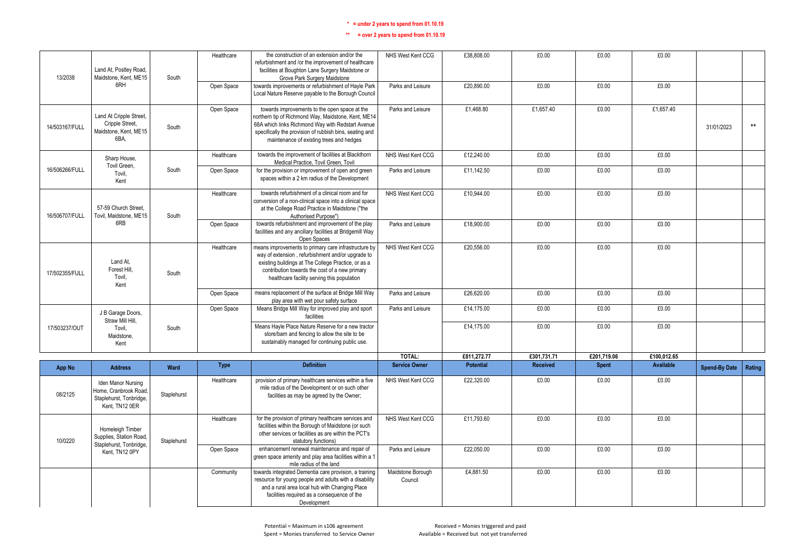| 13/2038        | Land At, Postley Road,<br>Maidstone, Kent, ME15                                          | South       | Healthcare  | the construction of an extension and/or the<br>refurbishment and /or the improvement of healthcare<br>facilities at Boughton Lane Surgery Maidstone or                                                                                                            | NHS West Kent CCG            | £38,808.00       | £0.00           | £0.00        | £0.00            |                      |        |
|----------------|------------------------------------------------------------------------------------------|-------------|-------------|-------------------------------------------------------------------------------------------------------------------------------------------------------------------------------------------------------------------------------------------------------------------|------------------------------|------------------|-----------------|--------------|------------------|----------------------|--------|
|                | 6RH                                                                                      |             | Open Space  | Grove Park Surgery Maidstone<br>towards improvements or refurbishment of Hayle Park<br>Local Nature Reserve payable to the Borough Council                                                                                                                        | Parks and Leisure            | £20.890.00       | £0.00           | £0.00        | £0.00            |                      |        |
| 14/503167/FULL | Land At Cripple Street,<br>Cripple Street,<br>Maidstone, Kent, ME15<br>6BA.              | South       | Open Space  | towards improvements to the open space at the<br>northern tip of Richmond Way, Maidstone, Kent, ME14<br>68A which links Richmond Way with Redstart Avenue<br>specifically the provision of rubbish bins, seating and<br>maintenance of existing trees and hedges  | Parks and Leisure            | £1,468.80        | £1.657.40       | £0.00        | £1.657.40        | 31/01/2023           | $***$  |
|                | Sharp House,<br>Tovil Green,                                                             |             | Healthcare  | towards the improvement of facilities at Blackthorn<br>Medical Practice. Tovil Green. Tovil                                                                                                                                                                       | NHS West Kent CCG            | £12,240.00       | £0.00           | £0.00        | £0.00            |                      |        |
| 16/506266/FULL | Tovil.<br>Kent                                                                           | South       | Open Space  | for the provision or improvement of open and green<br>spaces within a 2 km radius of the Development                                                                                                                                                              | Parks and Leisure            | £11,142.50       | £0.00           | £0.00        | £0.00            |                      |        |
| 16/506707/FULL | 57-59 Church Street.<br>Tovil, Maidstone, ME15                                           | South       | Healthcare  | towards refurbishment of a clinical room and for<br>conversion of a non-clinical space into a clinical space<br>at the College Road Practice in Maidstone ("the<br>Authorised Purpose")                                                                           | NHS West Kent CCG            | £10.944.00       | £0.00           | £0.00        | £0.00            |                      |        |
|                | 6RB                                                                                      |             | Open Space  | towards refurbishment and improvement of the play<br>facilities and any ancillary facilities at Bridgemill Way<br>Open Spaces                                                                                                                                     | Parks and Leisure            | £18,900.00       | £0.00           | £0.00        | £0.00            |                      |        |
| 17/502355/FULL | Land At.<br>Forest Hill.<br>Tovil.<br>Kent                                               | South       | Healthcare  | means improvements to primary care infrastructure by<br>way of extension, refurbishment and/or upgrade to<br>existing buildings at The College Practice, or as a<br>contribution towards the cost of a new primary<br>healthcare facility serving this population | NHS West Kent CCG            | £20,556.00       | £0.00           | £0.00        | £0.00            |                      |        |
|                |                                                                                          |             | Open Space  | means replacement of the surface at Bridge Mill Way<br>play area with wet pour safety surface                                                                                                                                                                     | Parks and Leisure            | £26,620.00       | £0.00           | £0.00        | £0.00            |                      |        |
|                | J B Garage Doors,<br>Straw Mill Hill.                                                    |             | Open Space  | Means Bridge Mill Way for improved play and sport<br>facilities                                                                                                                                                                                                   | Parks and Leisure            | £14,175.00       | £0.00           | £0.00        | £0.00            |                      |        |
| 17/503237/OUT  | Tovil.<br>Maidstone,<br>Kent                                                             | South       |             | Means Hayle Place Nature Reserve for a new tractor<br>store/barn and fencing to allow the site to be<br>sustainably managed for continuing public use.                                                                                                            |                              | £14,175.00       | £0.00           | £0.00        | £0.00            |                      |        |
|                |                                                                                          |             |             |                                                                                                                                                                                                                                                                   | TOTAL:                       | £811.272.77      | £301.731.71     | £201.719.06  | £100.012.65      |                      |        |
| App No         | <b>Address</b>                                                                           | Ward        | <b>Type</b> | <b>Definition</b>                                                                                                                                                                                                                                                 | <b>Service Owner</b>         | <b>Potential</b> | <b>Received</b> | <b>Spent</b> | <b>Available</b> | <b>Spend-By Date</b> | Rating |
| 08/2125        | Iden Manor Nursing<br>Home, Cranbrook Road,<br>Staplehurst, Tonbridge,<br>Kent. TN12 0ER | Staplehurst | Healthcare  | provision of primary healthcare services within a five<br>mile radius of the Development or on such other<br>facilities as may be agreed by the Owner;                                                                                                            | NHS West Kent CCG            | £22,320.00       | £0.00           | £0.00        | £0.00            |                      |        |
| 10/0220        | Homeleigh Timber<br>Supplies, Station Road,<br>Staplehurst, Tonbridge,                   | Staplehurst | Healthcare  | for the provision of primary healthcare services and<br>facilities within the Borough of Maidstone (or such<br>other services or facilities as are within the PCT's<br>statutory functions)                                                                       | NHS West Kent CCG            | £11,793.60       | £0.00           | £0.00        | £0.00            |                      |        |
|                | Kent, TN12 0PY                                                                           |             | Open Space  | enhancement renewal maintenance and repair of<br>green space amenity and play area facilities within a 1<br>mile radius of the land                                                                                                                               | Parks and Leisure            | £22,050.00       | £0.00           | £0.00        | £0.00            |                      |        |
|                |                                                                                          |             | Community   | towards integrated Dementia care provision, a training<br>resource for young people and adults with a disability<br>and a rural area local hub with Changing Place<br>facilities required as a consequence of the<br>Development                                  | Maidstone Borough<br>Council | £4,881.50        | £0.00           | £0.00        | £0.00            |                      |        |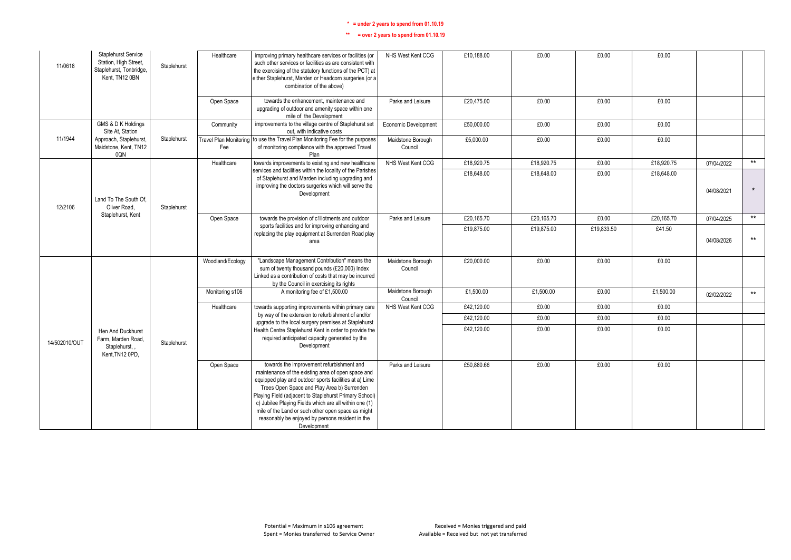| 11/0618       | <b>Staplehurst Service</b><br>Station, High Street,<br>Staplehurst, Tonbridge,<br>Kent. TN12 0BN | Staplehurst | Healthcare       | improving primary healthcare services or facilities (or<br>such other services or facilities as are consistent with<br>the exercising of the statutory functions of the PCT) at<br>either Staplehurst, Marden or Headcorn surgeries (or a<br>combination of the above)                                                                                                                                                                                | NHS West Kent CCG            | £10,188.00 | £0.00      | £0.00      | £0.00      |            |         |
|---------------|--------------------------------------------------------------------------------------------------|-------------|------------------|-------------------------------------------------------------------------------------------------------------------------------------------------------------------------------------------------------------------------------------------------------------------------------------------------------------------------------------------------------------------------------------------------------------------------------------------------------|------------------------------|------------|------------|------------|------------|------------|---------|
|               |                                                                                                  |             | Open Space       | towards the enhancement, maintenance and<br>upgrading of outdoor and amenity space within one<br>mile of the Development                                                                                                                                                                                                                                                                                                                              | Parks and Leisure            | £20.475.00 | £0.00      | £0.00      | £0.00      |            |         |
|               | GMS & D K Holdings<br>Site At. Station                                                           |             | Community        | improvements to the village centre of Staplehurst set<br>out, with indicative costs                                                                                                                                                                                                                                                                                                                                                                   | Economic Development         | £50,000.00 | £0.00      | £0.00      | £0.00      |            |         |
| 11/1944       | Approach, Staplehurst,<br>Maidstone, Kent, TN12<br>0QN                                           | Staplehurst | Fee              | Travel Plan Monitoring to use the Travel Plan Monitoring Fee for the purposes<br>of monitoring compliance with the approved Travel<br>Plan                                                                                                                                                                                                                                                                                                            | Maidstone Borough<br>Council | £5,000.00  | £0.00      | £0.00      | £0.00      |            |         |
|               |                                                                                                  |             | Healthcare       | towards improvements to existing and new healthcare                                                                                                                                                                                                                                                                                                                                                                                                   | NHS West Kent CCG            | £18,920.75 | £18,920.75 | £0.00      | £18,920.75 | 07/04/2022 | $***$   |
| 12/2106       | Land To The South Of<br>Oliver Road.                                                             | Staplehurst |                  | services and facilities within the locality of the Parishes<br>of Staplehurst and Marden including upgrading and<br>improving the doctors surgeries which will serve the<br>Development                                                                                                                                                                                                                                                               |                              | £18,648.00 | £18,648.00 | £0.00      | £18,648.00 | 04/08/2021 | $\star$ |
|               | Staplehurst, Kent                                                                                |             | Open Space       | towards the provision of c1llotments and outdoor                                                                                                                                                                                                                                                                                                                                                                                                      | Parks and Leisure            | £20.165.70 | £20,165.70 | £0.00      | £20,165.70 | 07/04/2025 | $**$    |
|               |                                                                                                  |             |                  | sports facilities and for improving enhancing and<br>replacing the play equipment at Surrenden Road play<br>area                                                                                                                                                                                                                                                                                                                                      |                              | £19,875.00 | £19,875.00 | £19,833.50 | £41.50     | 04/08/2026 | $***$   |
|               |                                                                                                  |             | Woodland/Ecology | "Landscape Management Contribution" means the<br>sum of twenty thousand pounds (£20,000) Index<br>Linked as a contribution of costs that may be incurred<br>by the Council in exercising its rights                                                                                                                                                                                                                                                   | Maidstone Borough<br>Council | £20,000.00 | £0.00      | £0.00      | £0.00      |            |         |
|               |                                                                                                  |             | Monitoring s106  | A monitoring fee of £1,500.00                                                                                                                                                                                                                                                                                                                                                                                                                         | Maidstone Borough<br>Council | £1,500.00  | £1,500.00  | £0.00      | £1,500.00  | 02/02/2022 | $**$    |
|               |                                                                                                  |             | Healthcare       | towards supporting improvements within primary care                                                                                                                                                                                                                                                                                                                                                                                                   | NHS West Kent CCG            | £42,120.00 | £0.00      | £0.00      | £0.00      |            |         |
|               |                                                                                                  |             |                  | by way of the extension to refurbishment of and/or<br>upgrade to the local surgery premises at Staplehurst                                                                                                                                                                                                                                                                                                                                            |                              | £42,120.00 | £0.00      | £0.00      | £0.00      |            |         |
| 14/502010/OUT | Hen And Duckhurst<br>Farm, Marden Road,<br>Staplehurst,<br>Kent, TN12 0PD,                       | Staplehurst |                  | Health Centre Staplehurst Kent in order to provide the<br>required anticipated capacity generated by the<br>Development                                                                                                                                                                                                                                                                                                                               |                              | £42,120.00 | £0.00      | £0.00      | £0.00      |            |         |
|               |                                                                                                  |             | Open Space       | towards the improvement refurbishment and<br>maintenance of the existing area of open space and<br>equipped play and outdoor sports facilities at a) Lime<br>Trees Open Space and Play Area b) Surrenden<br>Playing Field (adjacent to Staplehurst Primary School)<br>c) Jubilee Playing Fields which are all within one (1)<br>mile of the Land or such other open space as might<br>reasonably be enjoyed by persons resident in the<br>Development | Parks and Leisure            | £50.880.66 | £0.00      | £0.00      | £0.00      |            |         |